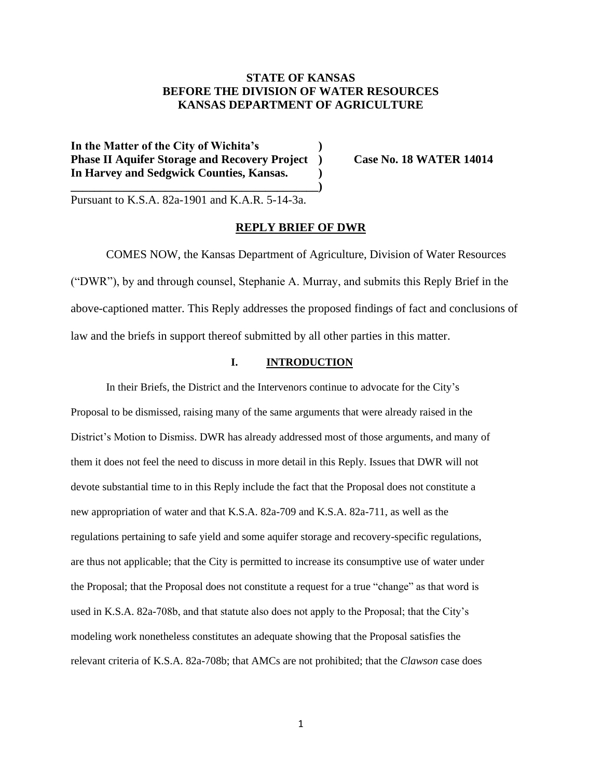## **STATE OF KANSAS BEFORE THE DIVISION OF WATER RESOURCES KANSAS DEPARTMENT OF AGRICULTURE**

**In the Matter of the City of Wichita's ) Phase II Aquifer Storage and Recovery Project ) Case No. 18 WATER 14014 In Harvey and Sedgwick Counties, Kansas. )**

**\_\_\_\_\_\_\_\_\_\_\_\_\_\_\_\_\_\_\_\_\_\_\_\_\_\_\_\_\_\_\_\_\_\_\_\_\_\_\_\_\_\_)**

Pursuant to K.S.A. 82a-1901 and K.A.R. 5-14-3a.

## **REPLY BRIEF OF DWR**

COMES NOW, the Kansas Department of Agriculture, Division of Water Resources ("DWR"), by and through counsel, Stephanie A. Murray, and submits this Reply Brief in the above-captioned matter. This Reply addresses the proposed findings of fact and conclusions of law and the briefs in support thereof submitted by all other parties in this matter.

## **I. INTRODUCTION**

In their Briefs, the District and the Intervenors continue to advocate for the City's Proposal to be dismissed, raising many of the same arguments that were already raised in the District's Motion to Dismiss. DWR has already addressed most of those arguments, and many of them it does not feel the need to discuss in more detail in this Reply. Issues that DWR will not devote substantial time to in this Reply include the fact that the Proposal does not constitute a new appropriation of water and that K.S.A. 82a-709 and K.S.A. 82a-711, as well as the regulations pertaining to safe yield and some aquifer storage and recovery-specific regulations, are thus not applicable; that the City is permitted to increase its consumptive use of water under the Proposal; that the Proposal does not constitute a request for a true "change" as that word is used in K.S.A. 82a-708b, and that statute also does not apply to the Proposal; that the City's modeling work nonetheless constitutes an adequate showing that the Proposal satisfies the relevant criteria of K.S.A. 82a-708b; that AMCs are not prohibited; that the *Clawson* case does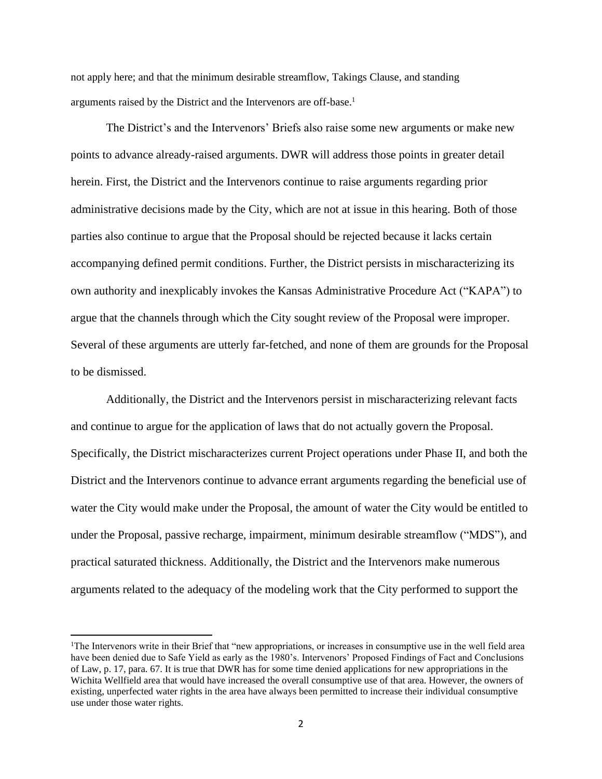not apply here; and that the minimum desirable streamflow, Takings Clause, and standing arguments raised by the District and the Intervenors are off-base.<sup>1</sup>

The District's and the Intervenors' Briefs also raise some new arguments or make new points to advance already-raised arguments. DWR will address those points in greater detail herein. First, the District and the Intervenors continue to raise arguments regarding prior administrative decisions made by the City, which are not at issue in this hearing. Both of those parties also continue to argue that the Proposal should be rejected because it lacks certain accompanying defined permit conditions. Further, the District persists in mischaracterizing its own authority and inexplicably invokes the Kansas Administrative Procedure Act ("KAPA") to argue that the channels through which the City sought review of the Proposal were improper. Several of these arguments are utterly far-fetched, and none of them are grounds for the Proposal to be dismissed.

Additionally, the District and the Intervenors persist in mischaracterizing relevant facts and continue to argue for the application of laws that do not actually govern the Proposal. Specifically, the District mischaracterizes current Project operations under Phase II, and both the District and the Intervenors continue to advance errant arguments regarding the beneficial use of water the City would make under the Proposal, the amount of water the City would be entitled to under the Proposal, passive recharge, impairment, minimum desirable streamflow ("MDS"), and practical saturated thickness. Additionally, the District and the Intervenors make numerous arguments related to the adequacy of the modeling work that the City performed to support the

<sup>&</sup>lt;sup>1</sup>The Intervenors write in their Brief that "new appropriations, or increases in consumptive use in the well field area have been denied due to Safe Yield as early as the 1980's. Intervenors' Proposed Findings of Fact and Conclusions of Law, p. 17, para. 67. It is true that DWR has for some time denied applications for new appropriations in the Wichita Wellfield area that would have increased the overall consumptive use of that area. However, the owners of existing, unperfected water rights in the area have always been permitted to increase their individual consumptive use under those water rights.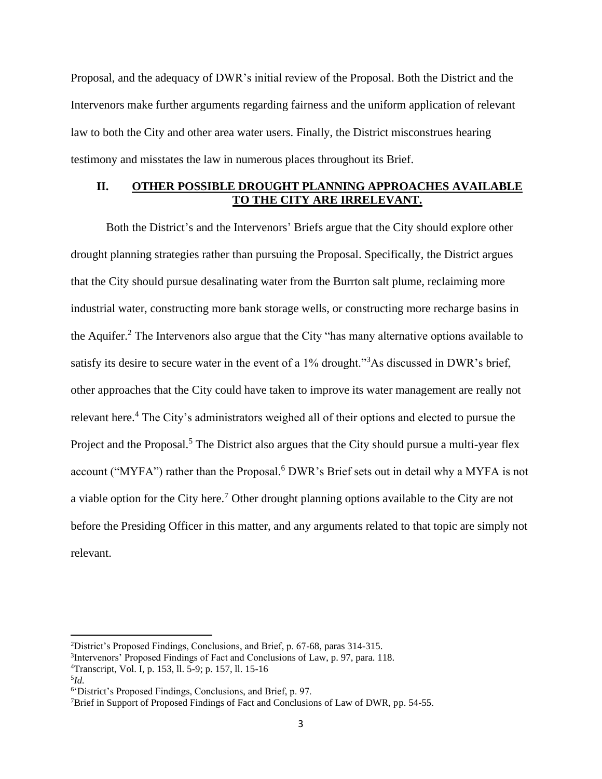Proposal, and the adequacy of DWR's initial review of the Proposal. Both the District and the Intervenors make further arguments regarding fairness and the uniform application of relevant law to both the City and other area water users. Finally, the District misconstrues hearing testimony and misstates the law in numerous places throughout its Brief.

## **II. OTHER POSSIBLE DROUGHT PLANNING APPROACHES AVAILABLE TO THE CITY ARE IRRELEVANT.**

Both the District's and the Intervenors' Briefs argue that the City should explore other drought planning strategies rather than pursuing the Proposal. Specifically, the District argues that the City should pursue desalinating water from the Burrton salt plume, reclaiming more industrial water, constructing more bank storage wells, or constructing more recharge basins in the Aquifer. <sup>2</sup> The Intervenors also argue that the City "has many alternative options available to satisfy its desire to secure water in the event of a 1% drought."<sup>3</sup>As discussed in DWR's brief, other approaches that the City could have taken to improve its water management are really not relevant here.<sup>4</sup> The City's administrators weighed all of their options and elected to pursue the Project and the Proposal.<sup>5</sup> The District also argues that the City should pursue a multi-year flex account ("MYFA") rather than the Proposal.<sup>6</sup> DWR's Brief sets out in detail why a MYFA is not a viable option for the City here.<sup>7</sup> Other drought planning options available to the City are not before the Presiding Officer in this matter, and any arguments related to that topic are simply not relevant.

<sup>2</sup>District's Proposed Findings, Conclusions, and Brief, p. 67-68, paras 314-315.

<sup>&</sup>lt;sup>3</sup>Intervenors' Proposed Findings of Fact and Conclusions of Law, p. 97, para. 118.

<sup>4</sup>Transcript, Vol. I, p. 153, ll. 5-9; p. 157, ll. 15-16

<sup>5</sup> *Id.*

<sup>6</sup> 'District's Proposed Findings, Conclusions, and Brief, p. 97.

<sup>7</sup>Brief in Support of Proposed Findings of Fact and Conclusions of Law of DWR, pp. 54-55.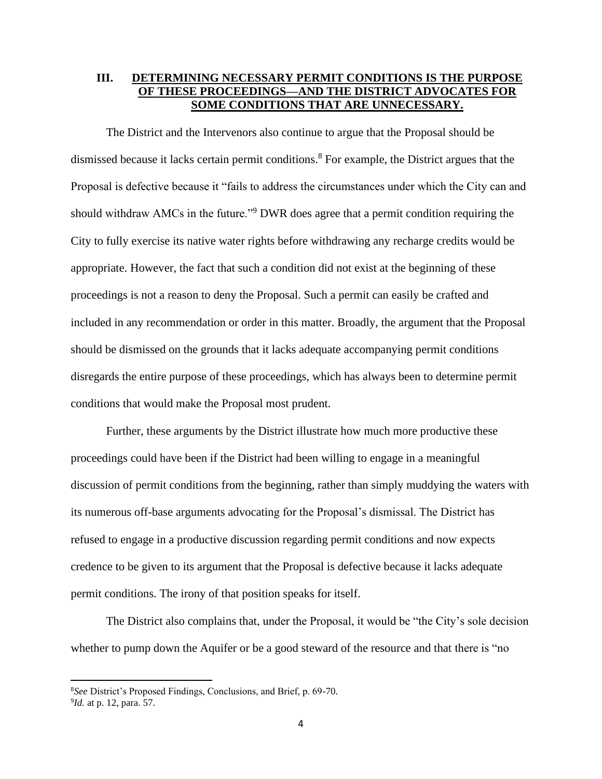## **III. DETERMINING NECESSARY PERMIT CONDITIONS IS THE PURPOSE OF THESE PROCEEDINGS—AND THE DISTRICT ADVOCATES FOR SOME CONDITIONS THAT ARE UNNECESSARY.**

The District and the Intervenors also continue to argue that the Proposal should be dismissed because it lacks certain permit conditions. <sup>8</sup> For example, the District argues that the Proposal is defective because it "fails to address the circumstances under which the City can and should withdraw AMCs in the future."<sup>9</sup> DWR does agree that a permit condition requiring the City to fully exercise its native water rights before withdrawing any recharge credits would be appropriate. However, the fact that such a condition did not exist at the beginning of these proceedings is not a reason to deny the Proposal. Such a permit can easily be crafted and included in any recommendation or order in this matter. Broadly, the argument that the Proposal should be dismissed on the grounds that it lacks adequate accompanying permit conditions disregards the entire purpose of these proceedings, which has always been to determine permit conditions that would make the Proposal most prudent.

Further, these arguments by the District illustrate how much more productive these proceedings could have been if the District had been willing to engage in a meaningful discussion of permit conditions from the beginning, rather than simply muddying the waters with its numerous off-base arguments advocating for the Proposal's dismissal. The District has refused to engage in a productive discussion regarding permit conditions and now expects credence to be given to its argument that the Proposal is defective because it lacks adequate permit conditions. The irony of that position speaks for itself.

The District also complains that, under the Proposal, it would be "the City's sole decision whether to pump down the Aquifer or be a good steward of the resource and that there is "no

<sup>8</sup>*See* District's Proposed Findings, Conclusions, and Brief, p. 69-70. 9 *Id.* at p. 12, para. 57.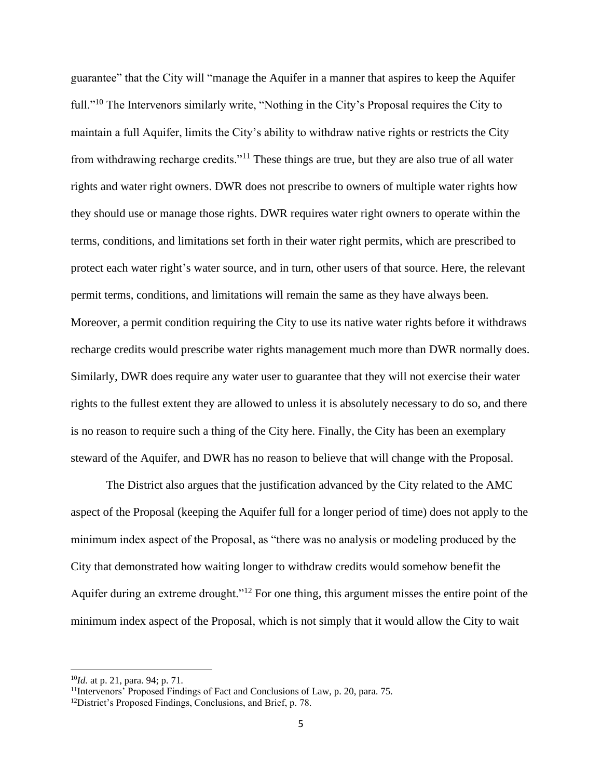guarantee" that the City will "manage the Aquifer in a manner that aspires to keep the Aquifer full."<sup>10</sup> The Intervenors similarly write, "Nothing in the City's Proposal requires the City to maintain a full Aquifer, limits the City's ability to withdraw native rights or restricts the City from withdrawing recharge credits."<sup>11</sup> These things are true, but they are also true of all water rights and water right owners. DWR does not prescribe to owners of multiple water rights how they should use or manage those rights. DWR requires water right owners to operate within the terms, conditions, and limitations set forth in their water right permits, which are prescribed to protect each water right's water source, and in turn, other users of that source. Here, the relevant permit terms, conditions, and limitations will remain the same as they have always been. Moreover, a permit condition requiring the City to use its native water rights before it withdraws recharge credits would prescribe water rights management much more than DWR normally does. Similarly, DWR does require any water user to guarantee that they will not exercise their water rights to the fullest extent they are allowed to unless it is absolutely necessary to do so, and there is no reason to require such a thing of the City here. Finally, the City has been an exemplary steward of the Aquifer, and DWR has no reason to believe that will change with the Proposal.

The District also argues that the justification advanced by the City related to the AMC aspect of the Proposal (keeping the Aquifer full for a longer period of time) does not apply to the minimum index aspect of the Proposal, as "there was no analysis or modeling produced by the City that demonstrated how waiting longer to withdraw credits would somehow benefit the Aquifer during an extreme drought."<sup>12</sup> For one thing, this argument misses the entire point of the minimum index aspect of the Proposal, which is not simply that it would allow the City to wait

<sup>10</sup>*Id.* at p. 21, para. 94; p. 71.

<sup>&</sup>lt;sup>11</sup>Intervenors' Proposed Findings of Fact and Conclusions of Law, p. 20, para. 75.

<sup>&</sup>lt;sup>12</sup>District's Proposed Findings, Conclusions, and Brief, p. 78.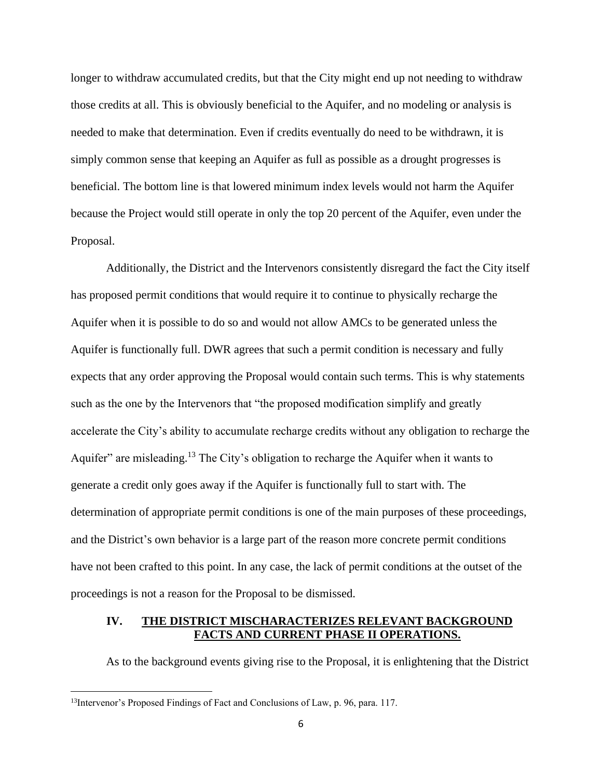longer to withdraw accumulated credits, but that the City might end up not needing to withdraw those credits at all. This is obviously beneficial to the Aquifer, and no modeling or analysis is needed to make that determination. Even if credits eventually do need to be withdrawn, it is simply common sense that keeping an Aquifer as full as possible as a drought progresses is beneficial. The bottom line is that lowered minimum index levels would not harm the Aquifer because the Project would still operate in only the top 20 percent of the Aquifer, even under the Proposal.

Additionally, the District and the Intervenors consistently disregard the fact the City itself has proposed permit conditions that would require it to continue to physically recharge the Aquifer when it is possible to do so and would not allow AMCs to be generated unless the Aquifer is functionally full. DWR agrees that such a permit condition is necessary and fully expects that any order approving the Proposal would contain such terms. This is why statements such as the one by the Intervenors that "the proposed modification simplify and greatly accelerate the City's ability to accumulate recharge credits without any obligation to recharge the Aquifer" are misleading.<sup>13</sup> The City's obligation to recharge the Aquifer when it wants to generate a credit only goes away if the Aquifer is functionally full to start with. The determination of appropriate permit conditions is one of the main purposes of these proceedings, and the District's own behavior is a large part of the reason more concrete permit conditions have not been crafted to this point. In any case, the lack of permit conditions at the outset of the proceedings is not a reason for the Proposal to be dismissed.

## **IV. THE DISTRICT MISCHARACTERIZES RELEVANT BACKGROUND FACTS AND CURRENT PHASE II OPERATIONS.**

As to the background events giving rise to the Proposal, it is enlightening that the District

<sup>&</sup>lt;sup>13</sup>Intervenor's Proposed Findings of Fact and Conclusions of Law, p. 96, para. 117.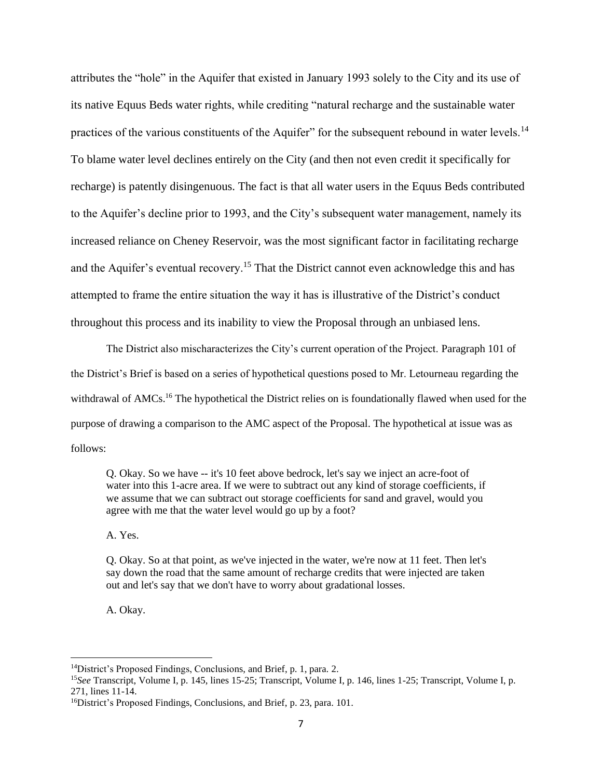attributes the "hole" in the Aquifer that existed in January 1993 solely to the City and its use of its native Equus Beds water rights, while crediting "natural recharge and the sustainable water practices of the various constituents of the Aquifer" for the subsequent rebound in water levels.<sup>14</sup> To blame water level declines entirely on the City (and then not even credit it specifically for recharge) is patently disingenuous. The fact is that all water users in the Equus Beds contributed to the Aquifer's decline prior to 1993, and the City's subsequent water management, namely its increased reliance on Cheney Reservoir, was the most significant factor in facilitating recharge and the Aquifer's eventual recovery.<sup>15</sup> That the District cannot even acknowledge this and has attempted to frame the entire situation the way it has is illustrative of the District's conduct throughout this process and its inability to view the Proposal through an unbiased lens.

The District also mischaracterizes the City's current operation of the Project. Paragraph 101 of the District's Brief is based on a series of hypothetical questions posed to Mr. Letourneau regarding the withdrawal of AMCs.<sup>16</sup> The hypothetical the District relies on is foundationally flawed when used for the purpose of drawing a comparison to the AMC aspect of the Proposal. The hypothetical at issue was as follows:

Q. Okay. So we have -- it's 10 feet above bedrock, let's say we inject an acre-foot of water into this 1-acre area. If we were to subtract out any kind of storage coefficients, if we assume that we can subtract out storage coefficients for sand and gravel, would you agree with me that the water level would go up by a foot?

A. Yes.

Q. Okay. So at that point, as we've injected in the water, we're now at 11 feet. Then let's say down the road that the same amount of recharge credits that were injected are taken out and let's say that we don't have to worry about gradational losses.

A. Okay.

<sup>14</sup>District's Proposed Findings, Conclusions, and Brief, p. 1, para. 2.

<sup>15</sup>*See* Transcript, Volume I, p. 145, lines 15-25; Transcript, Volume I, p. 146, lines 1-25; Transcript, Volume I, p. 271, lines 11-14.

<sup>16</sup>District's Proposed Findings, Conclusions, and Brief, p. 23, para. 101.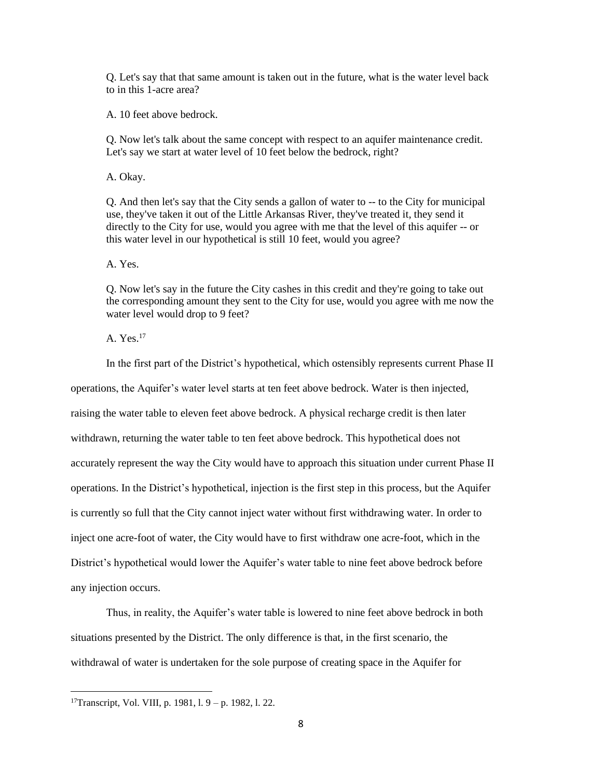Q. Let's say that that same amount is taken out in the future, what is the water level back to in this 1-acre area?

A. 10 feet above bedrock.

Q. Now let's talk about the same concept with respect to an aquifer maintenance credit. Let's say we start at water level of 10 feet below the bedrock, right?

A. Okay.

Q. And then let's say that the City sends a gallon of water to -- to the City for municipal use, they've taken it out of the Little Arkansas River, they've treated it, they send it directly to the City for use, would you agree with me that the level of this aquifer -- or this water level in our hypothetical is still 10 feet, would you agree?

A. Yes.

Q. Now let's say in the future the City cashes in this credit and they're going to take out the corresponding amount they sent to the City for use, would you agree with me now the water level would drop to 9 feet?

A. Yes.<sup>17</sup>

In the first part of the District's hypothetical, which ostensibly represents current Phase II operations, the Aquifer's water level starts at ten feet above bedrock. Water is then injected, raising the water table to eleven feet above bedrock. A physical recharge credit is then later withdrawn, returning the water table to ten feet above bedrock. This hypothetical does not accurately represent the way the City would have to approach this situation under current Phase II operations. In the District's hypothetical, injection is the first step in this process, but the Aquifer is currently so full that the City cannot inject water without first withdrawing water. In order to inject one acre-foot of water, the City would have to first withdraw one acre-foot, which in the District's hypothetical would lower the Aquifer's water table to nine feet above bedrock before any injection occurs.

Thus, in reality, the Aquifer's water table is lowered to nine feet above bedrock in both situations presented by the District. The only difference is that, in the first scenario, the withdrawal of water is undertaken for the sole purpose of creating space in the Aquifer for

<sup>17</sup>Transcript, Vol. VIII, p. 1981, l. 9 – p. 1982, l. 22.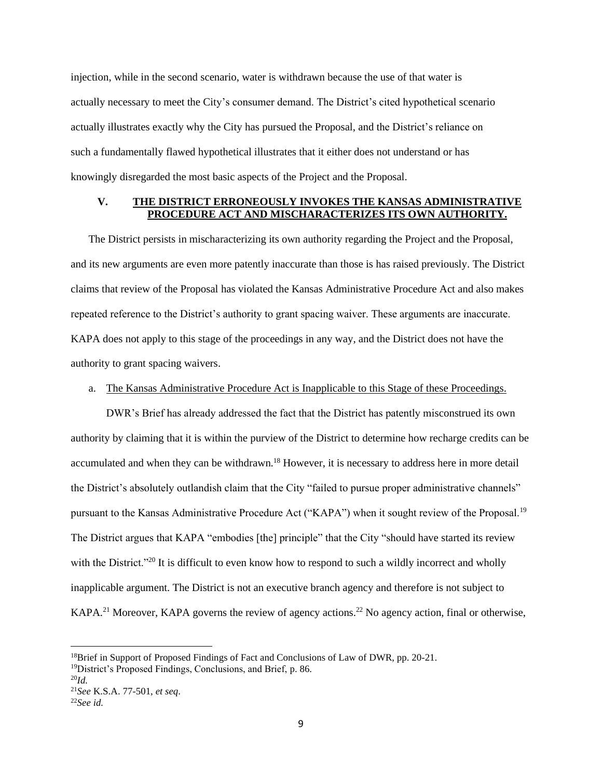injection, while in the second scenario, water is withdrawn because the use of that water is actually necessary to meet the City's consumer demand. The District's cited hypothetical scenario actually illustrates exactly why the City has pursued the Proposal, and the District's reliance on such a fundamentally flawed hypothetical illustrates that it either does not understand or has knowingly disregarded the most basic aspects of the Project and the Proposal.

## **V. THE DISTRICT ERRONEOUSLY INVOKES THE KANSAS ADMINISTRATIVE PROCEDURE ACT AND MISCHARACTERIZES ITS OWN AUTHORITY.**

The District persists in mischaracterizing its own authority regarding the Project and the Proposal, and its new arguments are even more patently inaccurate than those is has raised previously. The District claims that review of the Proposal has violated the Kansas Administrative Procedure Act and also makes repeated reference to the District's authority to grant spacing waiver. These arguments are inaccurate. KAPA does not apply to this stage of the proceedings in any way, and the District does not have the authority to grant spacing waivers.

#### a. The Kansas Administrative Procedure Act is Inapplicable to this Stage of these Proceedings.

DWR's Brief has already addressed the fact that the District has patently misconstrued its own authority by claiming that it is within the purview of the District to determine how recharge credits can be accumulated and when they can be withdrawn.<sup>18</sup> However, it is necessary to address here in more detail the District's absolutely outlandish claim that the City "failed to pursue proper administrative channels" pursuant to the Kansas Administrative Procedure Act ("KAPA") when it sought review of the Proposal.<sup>19</sup> The District argues that KAPA "embodies [the] principle" that the City "should have started its review with the District."<sup>20</sup> It is difficult to even know how to respond to such a wildly incorrect and wholly inapplicable argument. The District is not an executive branch agency and therefore is not subject to KAPA.<sup>21</sup> Moreover, KAPA governs the review of agency actions.<sup>22</sup> No agency action, final or otherwise,

<sup>&</sup>lt;sup>18</sup>Brief in Support of Proposed Findings of Fact and Conclusions of Law of DWR, pp. 20-21.

<sup>&</sup>lt;sup>19</sup>District's Proposed Findings, Conclusions, and Brief, p. 86.

<sup>20</sup>*Id.*

<sup>21</sup>*See* K.S.A. 77-501, *et seq*.

<sup>22</sup>*See id.*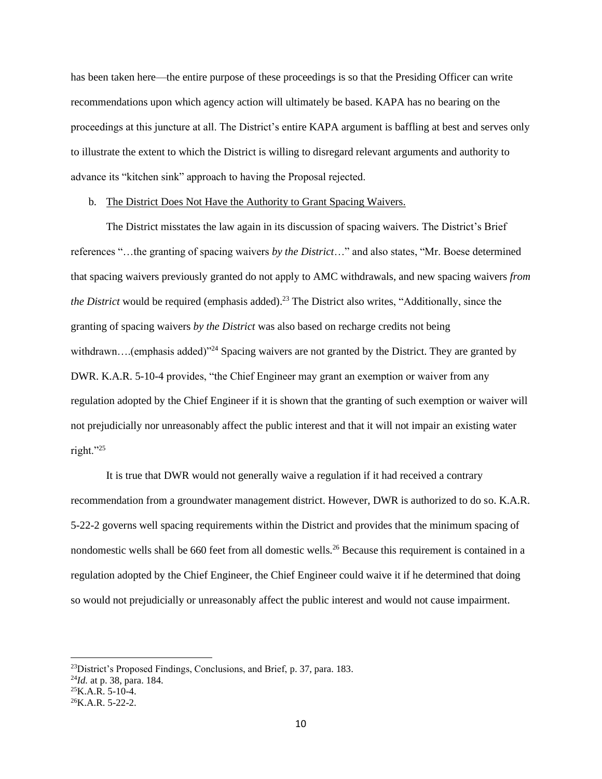has been taken here—the entire purpose of these proceedings is so that the Presiding Officer can write recommendations upon which agency action will ultimately be based. KAPA has no bearing on the proceedings at this juncture at all. The District's entire KAPA argument is baffling at best and serves only to illustrate the extent to which the District is willing to disregard relevant arguments and authority to advance its "kitchen sink" approach to having the Proposal rejected.

#### b. The District Does Not Have the Authority to Grant Spacing Waivers.

The District misstates the law again in its discussion of spacing waivers. The District's Brief references "…the granting of spacing waivers *by the District*…" and also states, "Mr. Boese determined that spacing waivers previously granted do not apply to AMC withdrawals, and new spacing waivers *from the District* would be required (emphasis added).<sup>23</sup> The District also writes, "Additionally, since the granting of spacing waivers *by the District* was also based on recharge credits not being withdrawn....(emphasis added)"<sup>24</sup> Spacing waivers are not granted by the District. They are granted by DWR. K.A.R. 5-10-4 provides, "the Chief Engineer may grant an exemption or waiver from any regulation adopted by the Chief Engineer if it is shown that the granting of such exemption or waiver will not prejudicially nor unreasonably affect the public interest and that it will not impair an existing water right."<sup>25</sup>

It is true that DWR would not generally waive a regulation if it had received a contrary recommendation from a groundwater management district. However, DWR is authorized to do so. K.A.R. 5-22-2 governs well spacing requirements within the District and provides that the minimum spacing of nondomestic wells shall be 660 feet from all domestic wells.<sup>26</sup> Because this requirement is contained in a regulation adopted by the Chief Engineer, the Chief Engineer could waive it if he determined that doing so would not prejudicially or unreasonably affect the public interest and would not cause impairment.

 $^{23}$ District's Proposed Findings, Conclusions, and Brief, p. 37, para. 183.

<sup>24</sup>*Id.* at p. 38, para. 184.

 $^{25}$ K.A.R. 5-10-4.

 $^{26}$ K.A.R. 5-22-2.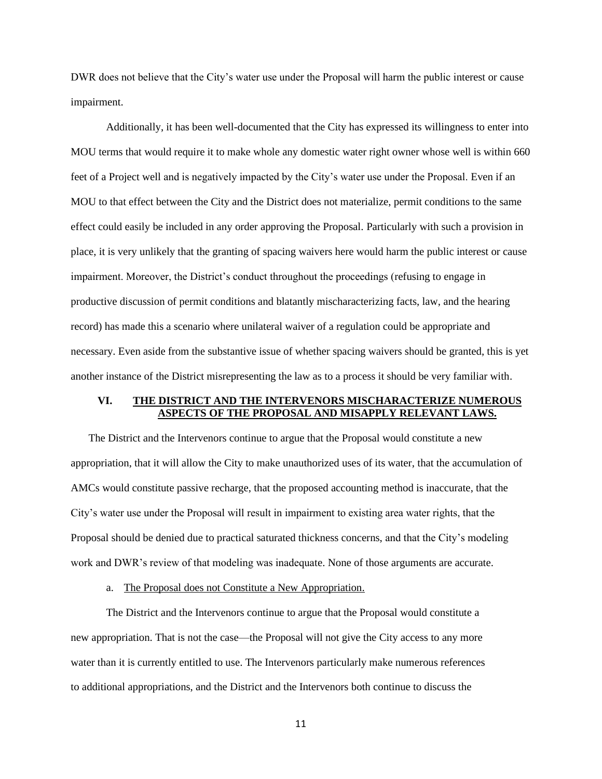DWR does not believe that the City's water use under the Proposal will harm the public interest or cause impairment.

Additionally, it has been well-documented that the City has expressed its willingness to enter into MOU terms that would require it to make whole any domestic water right owner whose well is within 660 feet of a Project well and is negatively impacted by the City's water use under the Proposal. Even if an MOU to that effect between the City and the District does not materialize, permit conditions to the same effect could easily be included in any order approving the Proposal. Particularly with such a provision in place, it is very unlikely that the granting of spacing waivers here would harm the public interest or cause impairment. Moreover, the District's conduct throughout the proceedings (refusing to engage in productive discussion of permit conditions and blatantly mischaracterizing facts, law, and the hearing record) has made this a scenario where unilateral waiver of a regulation could be appropriate and necessary. Even aside from the substantive issue of whether spacing waivers should be granted, this is yet another instance of the District misrepresenting the law as to a process it should be very familiar with.

## **VI. THE DISTRICT AND THE INTERVENORS MISCHARACTERIZE NUMEROUS ASPECTS OF THE PROPOSAL AND MISAPPLY RELEVANT LAWS.**

The District and the Intervenors continue to argue that the Proposal would constitute a new appropriation, that it will allow the City to make unauthorized uses of its water, that the accumulation of AMCs would constitute passive recharge, that the proposed accounting method is inaccurate, that the City's water use under the Proposal will result in impairment to existing area water rights, that the Proposal should be denied due to practical saturated thickness concerns, and that the City's modeling work and DWR's review of that modeling was inadequate. None of those arguments are accurate.

a. The Proposal does not Constitute a New Appropriation.

The District and the Intervenors continue to argue that the Proposal would constitute a new appropriation. That is not the case—the Proposal will not give the City access to any more water than it is currently entitled to use. The Intervenors particularly make numerous references to additional appropriations, and the District and the Intervenors both continue to discuss the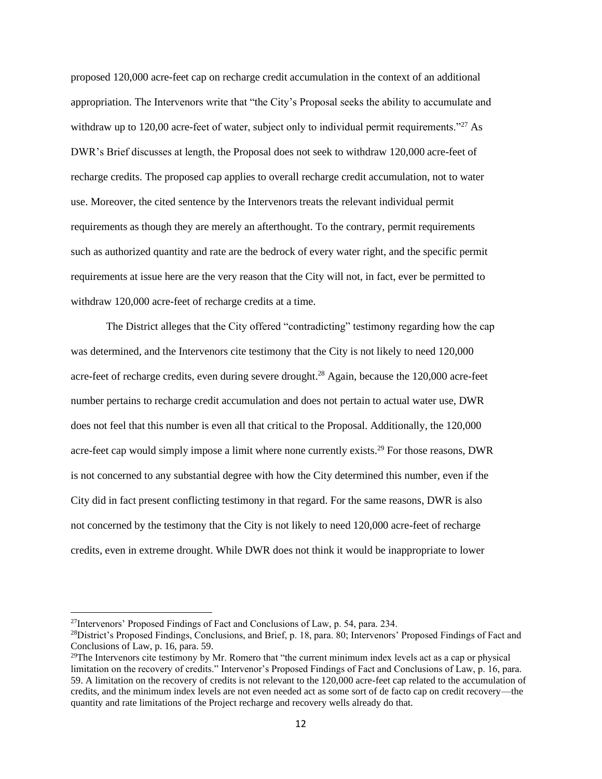proposed 120,000 acre-feet cap on recharge credit accumulation in the context of an additional appropriation. The Intervenors write that "the City's Proposal seeks the ability to accumulate and withdraw up to 120,00 acre-feet of water, subject only to individual permit requirements."<sup>27</sup> As DWR's Brief discusses at length, the Proposal does not seek to withdraw 120,000 acre-feet of recharge credits. The proposed cap applies to overall recharge credit accumulation, not to water use. Moreover, the cited sentence by the Intervenors treats the relevant individual permit requirements as though they are merely an afterthought. To the contrary, permit requirements such as authorized quantity and rate are the bedrock of every water right, and the specific permit requirements at issue here are the very reason that the City will not, in fact, ever be permitted to withdraw 120,000 acre-feet of recharge credits at a time.

The District alleges that the City offered "contradicting" testimony regarding how the cap was determined, and the Intervenors cite testimony that the City is not likely to need 120,000 acre-feet of recharge credits, even during severe drought.<sup>28</sup> Again, because the 120,000 acre-feet number pertains to recharge credit accumulation and does not pertain to actual water use, DWR does not feel that this number is even all that critical to the Proposal. Additionally, the 120,000 acre-feet cap would simply impose a limit where none currently exists.<sup>29</sup> For those reasons, DWR is not concerned to any substantial degree with how the City determined this number, even if the City did in fact present conflicting testimony in that regard. For the same reasons, DWR is also not concerned by the testimony that the City is not likely to need 120,000 acre-feet of recharge credits, even in extreme drought. While DWR does not think it would be inappropriate to lower

<sup>&</sup>lt;sup>27</sup>Intervenors' Proposed Findings of Fact and Conclusions of Law, p. 54, para. 234.

 $^{28}$ District's Proposed Findings, Conclusions, and Brief, p. 18, para. 80; Intervenors' Proposed Findings of Fact and Conclusions of Law, p. 16, para. 59.

 $29$ The Intervenors cite testimony by Mr. Romero that "the current minimum index levels act as a cap or physical limitation on the recovery of credits." Intervenor's Proposed Findings of Fact and Conclusions of Law, p. 16, para. 59. A limitation on the recovery of credits is not relevant to the 120,000 acre-feet cap related to the accumulation of credits, and the minimum index levels are not even needed act as some sort of de facto cap on credit recovery—the quantity and rate limitations of the Project recharge and recovery wells already do that.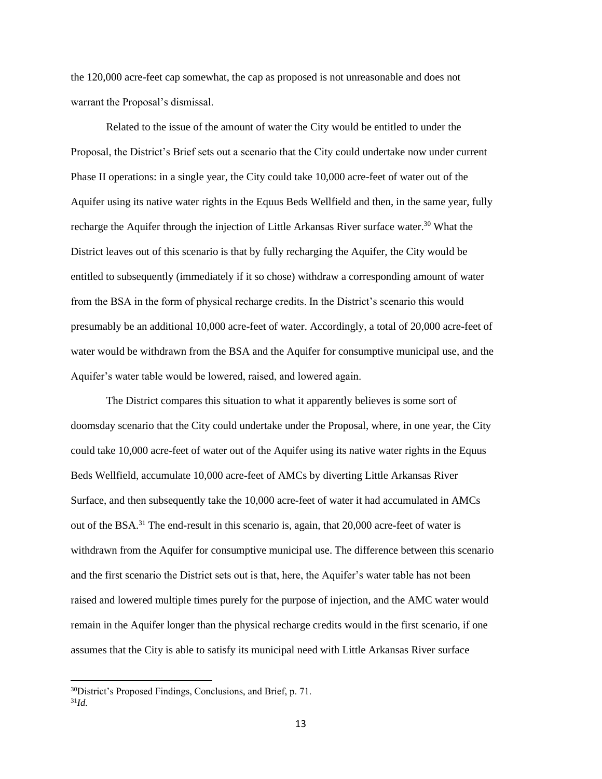the 120,000 acre-feet cap somewhat, the cap as proposed is not unreasonable and does not warrant the Proposal's dismissal.

Related to the issue of the amount of water the City would be entitled to under the Proposal, the District's Brief sets out a scenario that the City could undertake now under current Phase II operations: in a single year, the City could take 10,000 acre-feet of water out of the Aquifer using its native water rights in the Equus Beds Wellfield and then, in the same year, fully recharge the Aquifer through the injection of Little Arkansas River surface water.<sup>30</sup> What the District leaves out of this scenario is that by fully recharging the Aquifer, the City would be entitled to subsequently (immediately if it so chose) withdraw a corresponding amount of water from the BSA in the form of physical recharge credits. In the District's scenario this would presumably be an additional 10,000 acre-feet of water. Accordingly, a total of 20,000 acre-feet of water would be withdrawn from the BSA and the Aquifer for consumptive municipal use, and the Aquifer's water table would be lowered, raised, and lowered again.

The District compares this situation to what it apparently believes is some sort of doomsday scenario that the City could undertake under the Proposal, where, in one year, the City could take 10,000 acre-feet of water out of the Aquifer using its native water rights in the Equus Beds Wellfield, accumulate 10,000 acre-feet of AMCs by diverting Little Arkansas River Surface, and then subsequently take the 10,000 acre-feet of water it had accumulated in AMCs out of the BSA.<sup>31</sup> The end-result in this scenario is, again, that 20,000 acre-feet of water is withdrawn from the Aquifer for consumptive municipal use. The difference between this scenario and the first scenario the District sets out is that, here, the Aquifer's water table has not been raised and lowered multiple times purely for the purpose of injection, and the AMC water would remain in the Aquifer longer than the physical recharge credits would in the first scenario, if one assumes that the City is able to satisfy its municipal need with Little Arkansas River surface

<sup>30</sup>District's Proposed Findings, Conclusions, and Brief, p. 71.

<sup>31</sup>*Id.*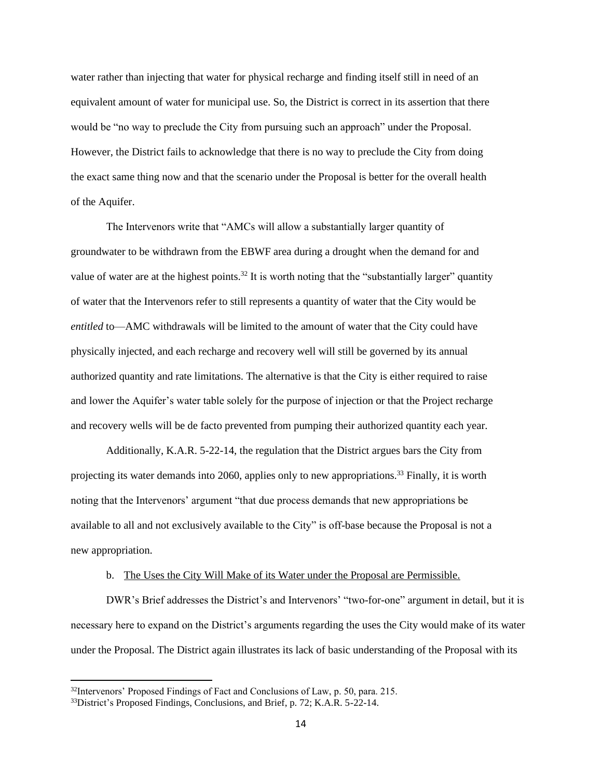water rather than injecting that water for physical recharge and finding itself still in need of an equivalent amount of water for municipal use. So, the District is correct in its assertion that there would be "no way to preclude the City from pursuing such an approach" under the Proposal. However, the District fails to acknowledge that there is no way to preclude the City from doing the exact same thing now and that the scenario under the Proposal is better for the overall health of the Aquifer.

The Intervenors write that "AMCs will allow a substantially larger quantity of groundwater to be withdrawn from the EBWF area during a drought when the demand for and value of water are at the highest points.<sup>32</sup> It is worth noting that the "substantially larger" quantity of water that the Intervenors refer to still represents a quantity of water that the City would be *entitled* to—AMC withdrawals will be limited to the amount of water that the City could have physically injected, and each recharge and recovery well will still be governed by its annual authorized quantity and rate limitations. The alternative is that the City is either required to raise and lower the Aquifer's water table solely for the purpose of injection or that the Project recharge and recovery wells will be de facto prevented from pumping their authorized quantity each year.

Additionally, K.A.R. 5-22-14, the regulation that the District argues bars the City from projecting its water demands into 2060, applies only to new appropriations.<sup>33</sup> Finally, it is worth noting that the Intervenors' argument "that due process demands that new appropriations be available to all and not exclusively available to the City" is off-base because the Proposal is not a new appropriation.

#### b. The Uses the City Will Make of its Water under the Proposal are Permissible.

DWR's Brief addresses the District's and Intervenors' "two-for-one" argument in detail, but it is necessary here to expand on the District's arguments regarding the uses the City would make of its water under the Proposal. The District again illustrates its lack of basic understanding of the Proposal with its

<sup>&</sup>lt;sup>32</sup>Intervenors' Proposed Findings of Fact and Conclusions of Law, p. 50, para. 215.

<sup>&</sup>lt;sup>33</sup>District's Proposed Findings, Conclusions, and Brief, p. 72; K.A.R. 5-22-14.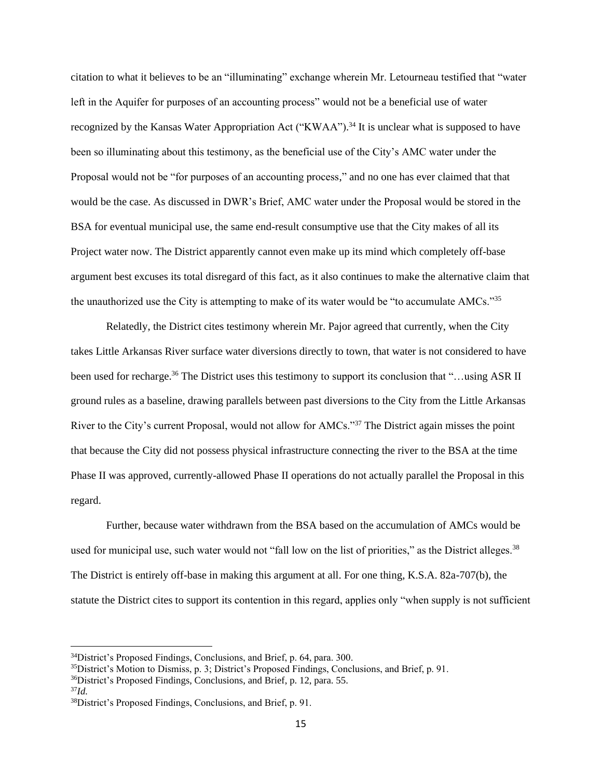citation to what it believes to be an "illuminating" exchange wherein Mr. Letourneau testified that "water left in the Aquifer for purposes of an accounting process" would not be a beneficial use of water recognized by the Kansas Water Appropriation Act ("KWAA").<sup>34</sup> It is unclear what is supposed to have been so illuminating about this testimony, as the beneficial use of the City's AMC water under the Proposal would not be "for purposes of an accounting process," and no one has ever claimed that that would be the case. As discussed in DWR's Brief, AMC water under the Proposal would be stored in the BSA for eventual municipal use, the same end-result consumptive use that the City makes of all its Project water now. The District apparently cannot even make up its mind which completely off-base argument best excuses its total disregard of this fact, as it also continues to make the alternative claim that the unauthorized use the City is attempting to make of its water would be "to accumulate AMCs."<sup>35</sup>

Relatedly, the District cites testimony wherein Mr. Pajor agreed that currently, when the City takes Little Arkansas River surface water diversions directly to town, that water is not considered to have been used for recharge.<sup>36</sup> The District uses this testimony to support its conclusion that "…using ASR II ground rules as a baseline, drawing parallels between past diversions to the City from the Little Arkansas River to the City's current Proposal, would not allow for AMCs."<sup>37</sup> The District again misses the point that because the City did not possess physical infrastructure connecting the river to the BSA at the time Phase II was approved, currently-allowed Phase II operations do not actually parallel the Proposal in this regard.

Further, because water withdrawn from the BSA based on the accumulation of AMCs would be used for municipal use, such water would not "fall low on the list of priorities," as the District alleges.<sup>38</sup> The District is entirely off-base in making this argument at all. For one thing, K.S.A. 82a-707(b), the statute the District cites to support its contention in this regard, applies only "when supply is not sufficient

<sup>37</sup>*Id.*

<sup>34</sup>District's Proposed Findings, Conclusions, and Brief, p. 64, para. 300.

 $35$ District's Motion to Dismiss, p. 3; District's Proposed Findings, Conclusions, and Brief, p. 91.

<sup>36</sup>District's Proposed Findings, Conclusions, and Brief, p. 12, para. 55.

<sup>38</sup>District's Proposed Findings, Conclusions, and Brief, p. 91.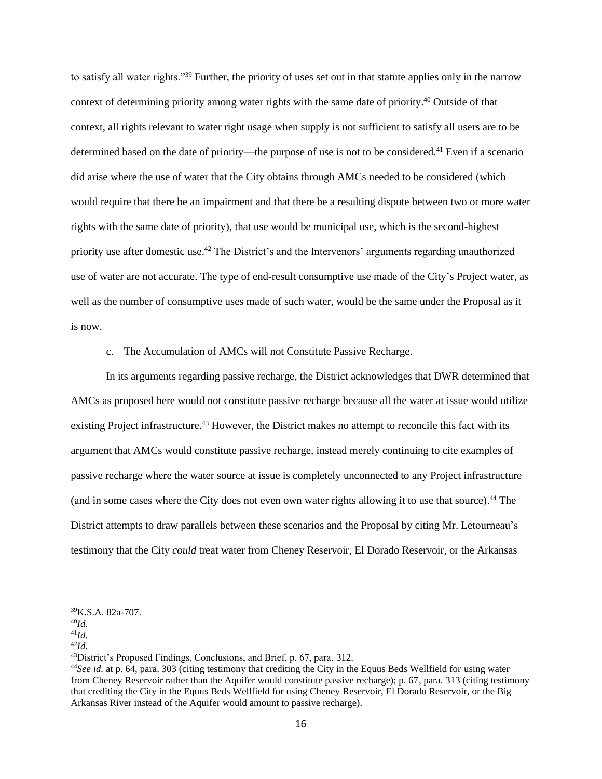to satisfy all water rights."<sup>39</sup> Further, the priority of uses set out in that statute applies only in the narrow context of determining priority among water rights with the same date of priority.<sup>40</sup> Outside of that context, all rights relevant to water right usage when supply is not sufficient to satisfy all users are to be determined based on the date of priority—the purpose of use is not to be considered.<sup>41</sup> Even if a scenario did arise where the use of water that the City obtains through AMCs needed to be considered (which would require that there be an impairment and that there be a resulting dispute between two or more water rights with the same date of priority), that use would be municipal use, which is the second-highest priority use after domestic use.<sup>42</sup> The District's and the Intervenors' arguments regarding unauthorized use of water are not accurate. The type of end-result consumptive use made of the City's Project water, as well as the number of consumptive uses made of such water, would be the same under the Proposal as it is now.

## c. The Accumulation of AMCs will not Constitute Passive Recharge.

In its arguments regarding passive recharge, the District acknowledges that DWR determined that AMCs as proposed here would not constitute passive recharge because all the water at issue would utilize existing Project infrastructure.<sup>43</sup> However, the District makes no attempt to reconcile this fact with its argument that AMCs would constitute passive recharge, instead merely continuing to cite examples of passive recharge where the water source at issue is completely unconnected to any Project infrastructure (and in some cases where the City does not even own water rights allowing it to use that source). <sup>44</sup> The District attempts to draw parallels between these scenarios and the Proposal by citing Mr. Letourneau's testimony that the City *could* treat water from Cheney Reservoir, El Dorado Reservoir, or the Arkansas

<sup>39</sup>K.S.A. 82a-707.

<sup>40</sup>*Id.*

<sup>41</sup>*Id.*

<sup>42</sup>*Id.*

<sup>43</sup>District's Proposed Findings, Conclusions, and Brief, p. 67, para. 312.

<sup>44</sup>*See id.* at p. 64, para. 303 (citing testimony that crediting the City in the Equus Beds Wellfield for using water from Cheney Reservoir rather than the Aquifer would constitute passive recharge); p. 67, para. 313 (citing testimony that crediting the City in the Equus Beds Wellfield for using Cheney Reservoir, El Dorado Reservoir, or the Big Arkansas River instead of the Aquifer would amount to passive recharge).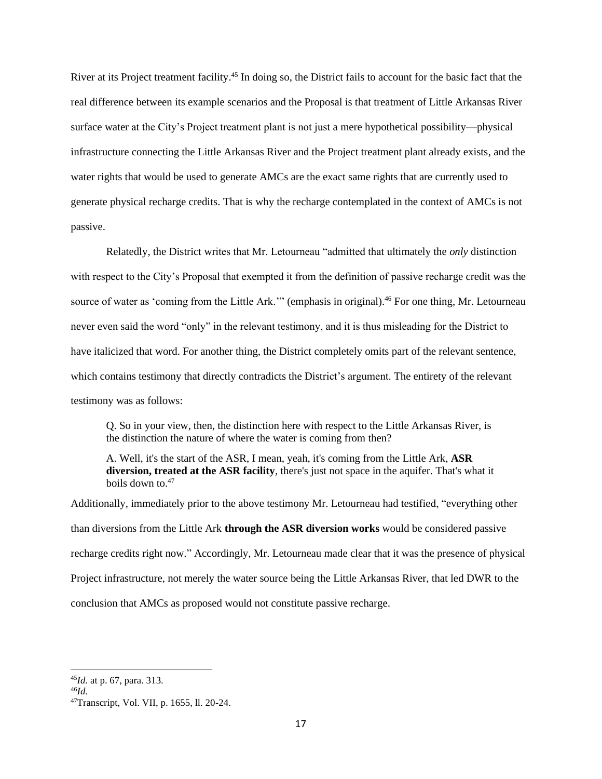River at its Project treatment facility.<sup>45</sup> In doing so, the District fails to account for the basic fact that the real difference between its example scenarios and the Proposal is that treatment of Little Arkansas River surface water at the City's Project treatment plant is not just a mere hypothetical possibility—physical infrastructure connecting the Little Arkansas River and the Project treatment plant already exists, and the water rights that would be used to generate AMCs are the exact same rights that are currently used to generate physical recharge credits. That is why the recharge contemplated in the context of AMCs is not passive.

Relatedly, the District writes that Mr. Letourneau "admitted that ultimately the *only* distinction with respect to the City's Proposal that exempted it from the definition of passive recharge credit was the source of water as 'coming from the Little Ark.'" (emphasis in original).<sup>46</sup> For one thing, Mr. Letourneau never even said the word "only" in the relevant testimony, and it is thus misleading for the District to have italicized that word. For another thing, the District completely omits part of the relevant sentence, which contains testimony that directly contradicts the District's argument. The entirety of the relevant testimony was as follows:

Q. So in your view, then, the distinction here with respect to the Little Arkansas River, is the distinction the nature of where the water is coming from then?

A. Well, it's the start of the ASR, I mean, yeah, it's coming from the Little Ark, **ASR diversion, treated at the ASR facility**, there's just not space in the aquifer. That's what it boils down to  $47$ 

Additionally, immediately prior to the above testimony Mr. Letourneau had testified, "everything other than diversions from the Little Ark **through the ASR diversion works** would be considered passive recharge credits right now." Accordingly, Mr. Letourneau made clear that it was the presence of physical Project infrastructure, not merely the water source being the Little Arkansas River, that led DWR to the conclusion that AMCs as proposed would not constitute passive recharge.

<sup>45</sup>*Id.* at p. 67, para. 313.

<sup>46</sup>*Id.*

<sup>47</sup>Transcript, Vol. VII, p. 1655, ll. 20-24.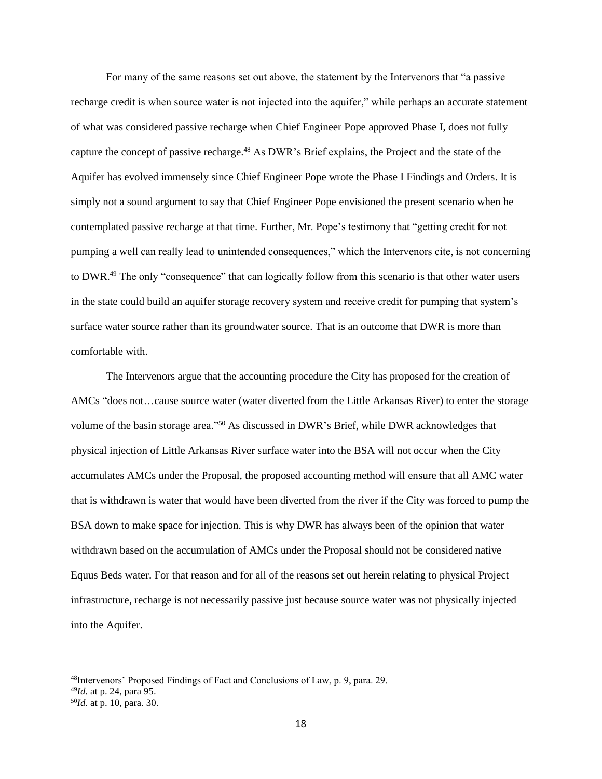For many of the same reasons set out above, the statement by the Intervenors that "a passive recharge credit is when source water is not injected into the aquifer," while perhaps an accurate statement of what was considered passive recharge when Chief Engineer Pope approved Phase I, does not fully capture the concept of passive recharge.<sup>48</sup> As DWR's Brief explains, the Project and the state of the Aquifer has evolved immensely since Chief Engineer Pope wrote the Phase I Findings and Orders. It is simply not a sound argument to say that Chief Engineer Pope envisioned the present scenario when he contemplated passive recharge at that time. Further, Mr. Pope's testimony that "getting credit for not pumping a well can really lead to unintended consequences," which the Intervenors cite, is not concerning to DWR.<sup>49</sup> The only "consequence" that can logically follow from this scenario is that other water users in the state could build an aquifer storage recovery system and receive credit for pumping that system's surface water source rather than its groundwater source. That is an outcome that DWR is more than comfortable with.

The Intervenors argue that the accounting procedure the City has proposed for the creation of AMCs "does not…cause source water (water diverted from the Little Arkansas River) to enter the storage volume of the basin storage area."<sup>50</sup> As discussed in DWR's Brief, while DWR acknowledges that physical injection of Little Arkansas River surface water into the BSA will not occur when the City accumulates AMCs under the Proposal, the proposed accounting method will ensure that all AMC water that is withdrawn is water that would have been diverted from the river if the City was forced to pump the BSA down to make space for injection. This is why DWR has always been of the opinion that water withdrawn based on the accumulation of AMCs under the Proposal should not be considered native Equus Beds water. For that reason and for all of the reasons set out herein relating to physical Project infrastructure, recharge is not necessarily passive just because source water was not physically injected into the Aquifer.

<sup>48</sup>Intervenors' Proposed Findings of Fact and Conclusions of Law, p. 9, para. 29.

<sup>49</sup>*Id.* at p. 24, para 95.

<sup>50</sup>*Id.* at p. 10, para. 30.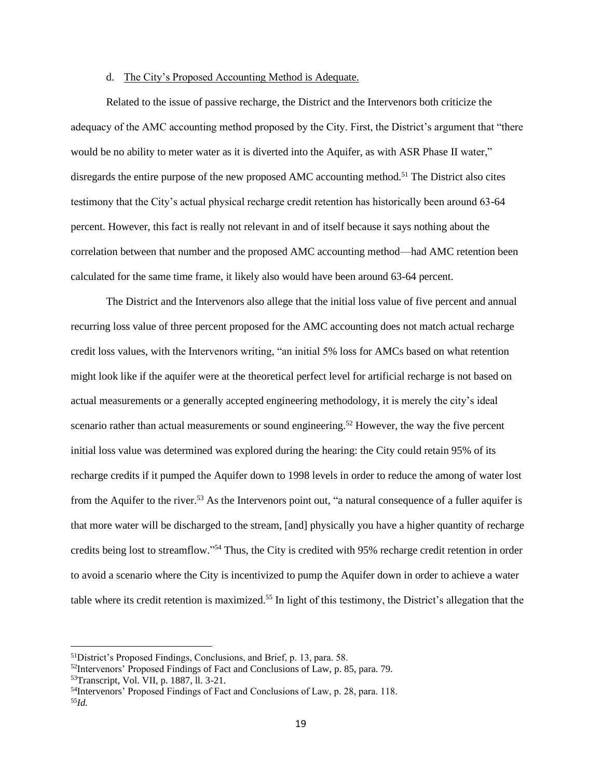#### d. The City's Proposed Accounting Method is Adequate.

Related to the issue of passive recharge, the District and the Intervenors both criticize the adequacy of the AMC accounting method proposed by the City. First, the District's argument that "there would be no ability to meter water as it is diverted into the Aquifer, as with ASR Phase II water," disregards the entire purpose of the new proposed AMC accounting method.<sup>51</sup> The District also cites testimony that the City's actual physical recharge credit retention has historically been around 63-64 percent. However, this fact is really not relevant in and of itself because it says nothing about the correlation between that number and the proposed AMC accounting method—had AMC retention been calculated for the same time frame, it likely also would have been around 63-64 percent.

The District and the Intervenors also allege that the initial loss value of five percent and annual recurring loss value of three percent proposed for the AMC accounting does not match actual recharge credit loss values, with the Intervenors writing, "an initial 5% loss for AMCs based on what retention might look like if the aquifer were at the theoretical perfect level for artificial recharge is not based on actual measurements or a generally accepted engineering methodology, it is merely the city's ideal scenario rather than actual measurements or sound engineering.<sup>52</sup> However, the way the five percent initial loss value was determined was explored during the hearing: the City could retain 95% of its recharge credits if it pumped the Aquifer down to 1998 levels in order to reduce the among of water lost from the Aquifer to the river.<sup>53</sup> As the Intervenors point out, "a natural consequence of a fuller aquifer is that more water will be discharged to the stream, [and] physically you have a higher quantity of recharge credits being lost to streamflow." <sup>54</sup> Thus, the City is credited with 95% recharge credit retention in order to avoid a scenario where the City is incentivized to pump the Aquifer down in order to achieve a water table where its credit retention is maximized. <sup>55</sup> In light of this testimony, the District's allegation that the

<sup>51</sup>District's Proposed Findings, Conclusions, and Brief, p. 13, para. 58.

<sup>52</sup>Intervenors' Proposed Findings of Fact and Conclusions of Law, p. 85, para. 79.

<sup>53</sup>Transcript, Vol. VII, p. 1887, ll. 3-21.

<sup>54</sup>Intervenors' Proposed Findings of Fact and Conclusions of Law, p. 28, para. 118. 55*Id.*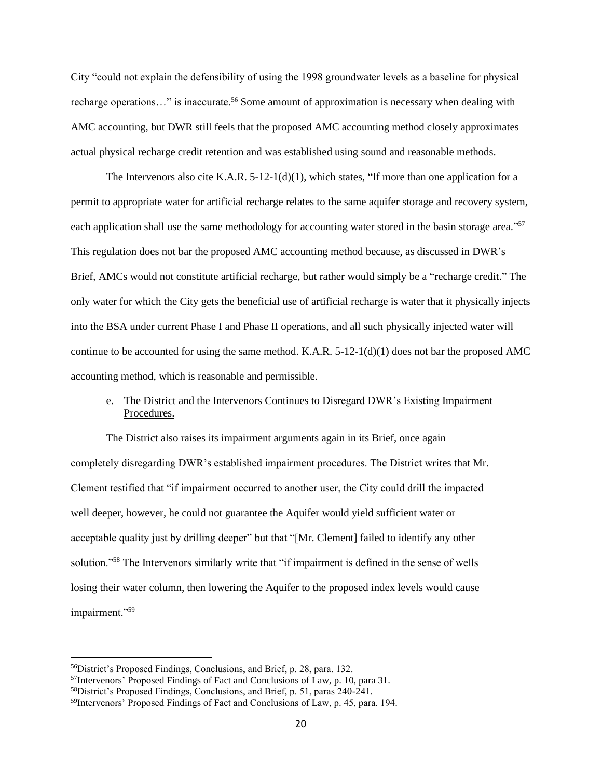City "could not explain the defensibility of using the 1998 groundwater levels as a baseline for physical recharge operations…" is inaccurate.<sup>56</sup> Some amount of approximation is necessary when dealing with AMC accounting, but DWR still feels that the proposed AMC accounting method closely approximates actual physical recharge credit retention and was established using sound and reasonable methods.

The Intervenors also cite K.A.R.  $5-12-1(d)(1)$ , which states, "If more than one application for a permit to appropriate water for artificial recharge relates to the same aquifer storage and recovery system, each application shall use the same methodology for accounting water stored in the basin storage area."<sup>57</sup> This regulation does not bar the proposed AMC accounting method because, as discussed in DWR's Brief, AMCs would not constitute artificial recharge, but rather would simply be a "recharge credit." The only water for which the City gets the beneficial use of artificial recharge is water that it physically injects into the BSA under current Phase I and Phase II operations, and all such physically injected water will continue to be accounted for using the same method. K.A.R. 5-12-1(d)(1) does not bar the proposed AMC accounting method, which is reasonable and permissible.

## e. The District and the Intervenors Continues to Disregard DWR's Existing Impairment Procedures.

The District also raises its impairment arguments again in its Brief, once again completely disregarding DWR's established impairment procedures. The District writes that Mr. Clement testified that "if impairment occurred to another user, the City could drill the impacted well deeper, however, he could not guarantee the Aquifer would yield sufficient water or acceptable quality just by drilling deeper" but that "[Mr. Clement] failed to identify any other solution."<sup>58</sup> The Intervenors similarly write that "if impairment is defined in the sense of wells losing their water column, then lowering the Aquifer to the proposed index levels would cause impairment."59

<sup>56</sup>District's Proposed Findings, Conclusions, and Brief, p. 28, para. 132.

<sup>57</sup>Intervenors' Proposed Findings of Fact and Conclusions of Law, p. 10, para 31.

<sup>58</sup>District's Proposed Findings, Conclusions, and Brief, p. 51, paras 240-241.

<sup>59</sup>Intervenors' Proposed Findings of Fact and Conclusions of Law, p. 45, para. 194.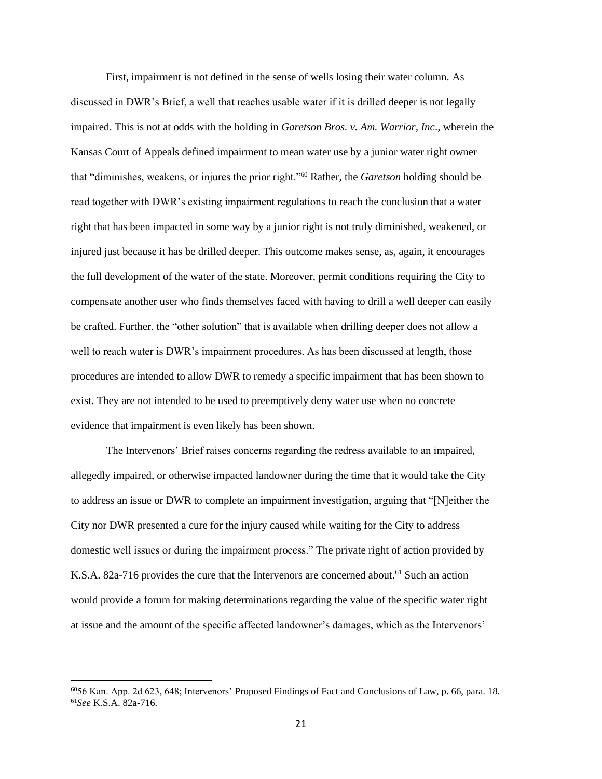First, impairment is not defined in the sense of wells losing their water column. As discussed in DWR's Brief, a well that reaches usable water if it is drilled deeper is not legally impaired. This is not at odds with the holding in *Garetson Bros. v. Am. Warrior, Inc*., wherein the Kansas Court of Appeals defined impairment to mean water use by a junior water right owner that "diminishes, weakens, or injures the prior right."<sup>60</sup> Rather, the *Garetson* holding should be read together with DWR's existing impairment regulations to reach the conclusion that a water right that has been impacted in some way by a junior right is not truly diminished, weakened, or injured just because it has be drilled deeper. This outcome makes sense, as, again, it encourages the full development of the water of the state. Moreover, permit conditions requiring the City to compensate another user who finds themselves faced with having to drill a well deeper can easily be crafted. Further, the "other solution" that is available when drilling deeper does not allow a well to reach water is DWR's impairment procedures. As has been discussed at length, those procedures are intended to allow DWR to remedy a specific impairment that has been shown to exist. They are not intended to be used to preemptively deny water use when no concrete evidence that impairment is even likely has been shown.

The Intervenors' Brief raises concerns regarding the redress available to an impaired, allegedly impaired, or otherwise impacted landowner during the time that it would take the City to address an issue or DWR to complete an impairment investigation, arguing that "[N]either the City nor DWR presented a cure for the injury caused while waiting for the City to address domestic well issues or during the impairment process." The private right of action provided by K.S.A. 82a-716 provides the cure that the Intervenors are concerned about.<sup>61</sup> Such an action would provide a forum for making determinations regarding the value of the specific water right at issue and the amount of the specific affected landowner's damages, which as the Intervenors'

<sup>60</sup>56 Kan. App. 2d 623, 648; Intervenors' Proposed Findings of Fact and Conclusions of Law, p. 66, para. 18. 61*See* K.S.A. 82a-716.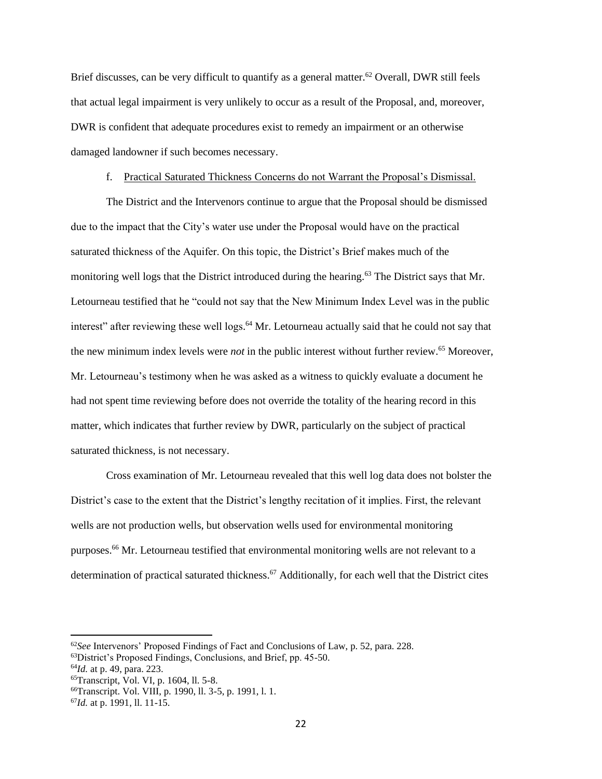Brief discusses, can be very difficult to quantify as a general matter.<sup>62</sup> Overall, DWR still feels that actual legal impairment is very unlikely to occur as a result of the Proposal, and, moreover, DWR is confident that adequate procedures exist to remedy an impairment or an otherwise damaged landowner if such becomes necessary.

#### f. Practical Saturated Thickness Concerns do not Warrant the Proposal's Dismissal.

The District and the Intervenors continue to argue that the Proposal should be dismissed due to the impact that the City's water use under the Proposal would have on the practical saturated thickness of the Aquifer. On this topic, the District's Brief makes much of the monitoring well logs that the District introduced during the hearing.<sup>63</sup> The District says that Mr. Letourneau testified that he "could not say that the New Minimum Index Level was in the public interest" after reviewing these well logs. <sup>64</sup> Mr. Letourneau actually said that he could not say that the new minimum index levels were *not* in the public interest without further review.<sup>65</sup> Moreover, Mr. Letourneau's testimony when he was asked as a witness to quickly evaluate a document he had not spent time reviewing before does not override the totality of the hearing record in this matter, which indicates that further review by DWR, particularly on the subject of practical saturated thickness, is not necessary.

Cross examination of Mr. Letourneau revealed that this well log data does not bolster the District's case to the extent that the District's lengthy recitation of it implies. First, the relevant wells are not production wells, but observation wells used for environmental monitoring purposes.<sup>66</sup> Mr. Letourneau testified that environmental monitoring wells are not relevant to a determination of practical saturated thickness.<sup>67</sup> Additionally, for each well that the District cites

<sup>62</sup>*See* Intervenors' Proposed Findings of Fact and Conclusions of Law, p. 52, para. 228.

<sup>63</sup>District's Proposed Findings, Conclusions, and Brief, pp. 45-50.

<sup>64</sup>*Id.* at p. 49, para. 223.

<sup>65</sup>Transcript, Vol. VI, p. 1604, ll. 5-8.

<sup>66</sup>Transcript. Vol. VIII, p. 1990, ll. 3-5, p. 1991, l. 1.

<sup>67</sup>*Id.* at p. 1991, ll. 11-15.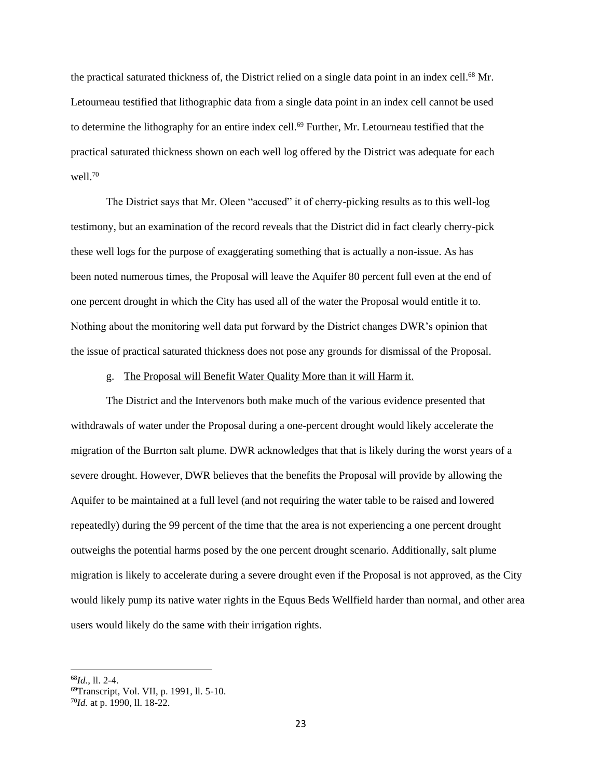the practical saturated thickness of, the District relied on a single data point in an index cell.<sup>68</sup> Mr. Letourneau testified that lithographic data from a single data point in an index cell cannot be used to determine the lithography for an entire index cell.<sup>69</sup> Further, Mr. Letourneau testified that the practical saturated thickness shown on each well log offered by the District was adequate for each well.<sup>70</sup>

The District says that Mr. Oleen "accused" it of cherry-picking results as to this well-log testimony, but an examination of the record reveals that the District did in fact clearly cherry-pick these well logs for the purpose of exaggerating something that is actually a non-issue. As has been noted numerous times, the Proposal will leave the Aquifer 80 percent full even at the end of one percent drought in which the City has used all of the water the Proposal would entitle it to. Nothing about the monitoring well data put forward by the District changes DWR's opinion that the issue of practical saturated thickness does not pose any grounds for dismissal of the Proposal.

#### g. The Proposal will Benefit Water Quality More than it will Harm it.

The District and the Intervenors both make much of the various evidence presented that withdrawals of water under the Proposal during a one-percent drought would likely accelerate the migration of the Burrton salt plume. DWR acknowledges that that is likely during the worst years of a severe drought. However, DWR believes that the benefits the Proposal will provide by allowing the Aquifer to be maintained at a full level (and not requiring the water table to be raised and lowered repeatedly) during the 99 percent of the time that the area is not experiencing a one percent drought outweighs the potential harms posed by the one percent drought scenario. Additionally, salt plume migration is likely to accelerate during a severe drought even if the Proposal is not approved, as the City would likely pump its native water rights in the Equus Beds Wellfield harder than normal, and other area users would likely do the same with their irrigation rights.

<sup>68</sup>*Id.*, ll. 2-4.

<sup>69</sup>Transcript, Vol. VII, p. 1991, ll. 5-10.

<sup>70</sup>*Id.* at p. 1990, ll. 18-22.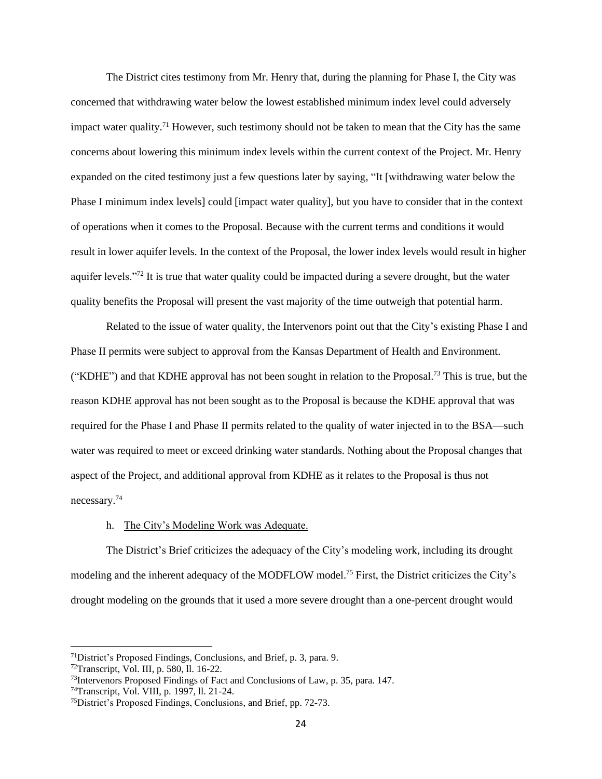The District cites testimony from Mr. Henry that, during the planning for Phase I, the City was concerned that withdrawing water below the lowest established minimum index level could adversely impact water quality.<sup>71</sup> However, such testimony should not be taken to mean that the City has the same concerns about lowering this minimum index levels within the current context of the Project. Mr. Henry expanded on the cited testimony just a few questions later by saying, "It [withdrawing water below the Phase I minimum index levels] could [impact water quality], but you have to consider that in the context of operations when it comes to the Proposal. Because with the current terms and conditions it would result in lower aquifer levels. In the context of the Proposal, the lower index levels would result in higher aquifer levels."<sup>72</sup> It is true that water quality could be impacted during a severe drought, but the water quality benefits the Proposal will present the vast majority of the time outweigh that potential harm.

Related to the issue of water quality, the Intervenors point out that the City's existing Phase I and Phase II permits were subject to approval from the Kansas Department of Health and Environment. ("KDHE") and that KDHE approval has not been sought in relation to the Proposal.<sup>73</sup> This is true, but the reason KDHE approval has not been sought as to the Proposal is because the KDHE approval that was required for the Phase I and Phase II permits related to the quality of water injected in to the BSA—such water was required to meet or exceed drinking water standards. Nothing about the Proposal changes that aspect of the Project, and additional approval from KDHE as it relates to the Proposal is thus not necessary.<sup>74</sup>

## h. The City's Modeling Work was Adequate.

The District's Brief criticizes the adequacy of the City's modeling work, including its drought modeling and the inherent adequacy of the MODFLOW model.<sup>75</sup> First, the District criticizes the City's drought modeling on the grounds that it used a more severe drought than a one-percent drought would

<sup>71</sup>District's Proposed Findings, Conclusions, and Brief, p. 3, para. 9.

<sup>72</sup>Transcript, Vol. III, p. 580, ll. 16-22.

<sup>73</sup>Intervenors Proposed Findings of Fact and Conclusions of Law, p. 35, para. 147.

<sup>74</sup>Transcript, Vol. VIII, p. 1997, ll. 21-24.

<sup>75</sup>District's Proposed Findings, Conclusions, and Brief, pp. 72-73.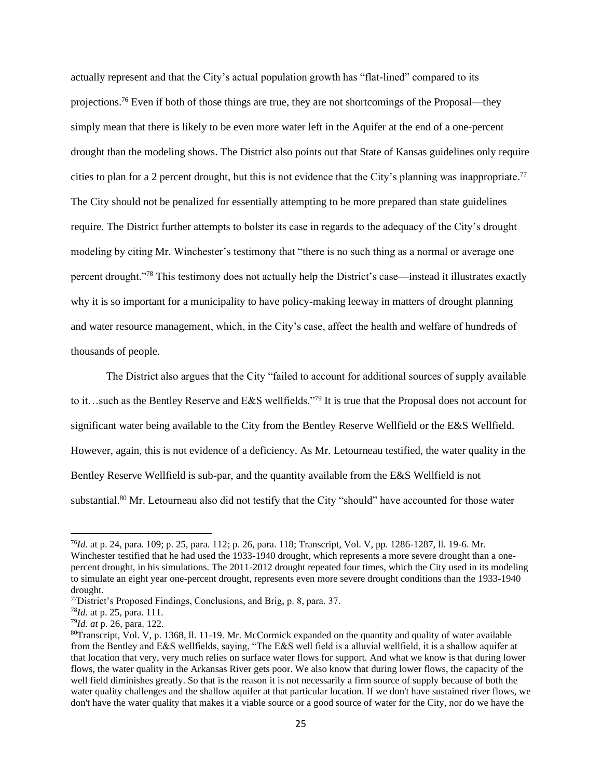actually represent and that the City's actual population growth has "flat-lined" compared to its projections.<sup>76</sup> Even if both of those things are true, they are not shortcomings of the Proposal—they simply mean that there is likely to be even more water left in the Aquifer at the end of a one-percent drought than the modeling shows. The District also points out that State of Kansas guidelines only require cities to plan for a 2 percent drought, but this is not evidence that the City's planning was inappropriate.<sup>77</sup> The City should not be penalized for essentially attempting to be more prepared than state guidelines require. The District further attempts to bolster its case in regards to the adequacy of the City's drought modeling by citing Mr. Winchester's testimony that "there is no such thing as a normal or average one percent drought."<sup>78</sup> This testimony does not actually help the District's case—instead it illustrates exactly why it is so important for a municipality to have policy-making leeway in matters of drought planning and water resource management, which, in the City's case, affect the health and welfare of hundreds of thousands of people.

The District also argues that the City "failed to account for additional sources of supply available to it…such as the Bentley Reserve and E&S wellfields."<sup>79</sup> It is true that the Proposal does not account for significant water being available to the City from the Bentley Reserve Wellfield or the E&S Wellfield. However, again, this is not evidence of a deficiency. As Mr. Letourneau testified, the water quality in the Bentley Reserve Wellfield is sub-par, and the quantity available from the E&S Wellfield is not substantial.<sup>80</sup> Mr. Letourneau also did not testify that the City "should" have accounted for those water

<sup>76</sup>*Id.* at p. 24, para. 109; p. 25, para. 112; p. 26, para. 118; Transcript, Vol. V, pp. 1286-1287, ll. 19-6. Mr. Winchester testified that he had used the 1933-1940 drought, which represents a more severe drought than a onepercent drought, in his simulations. The 2011-2012 drought repeated four times, which the City used in its modeling to simulate an eight year one-percent drought, represents even more severe drought conditions than the 1933-1940 drought.

<sup>77</sup>District's Proposed Findings, Conclusions, and Brig, p. 8, para. 37.

<sup>78</sup>*Id.* at p. 25, para. 111.

<sup>79</sup>*Id. at* p. 26, para. 122.

<sup>80</sup>Transcript, Vol. V, p. 1368, ll. 11-19. Mr. McCormick expanded on the quantity and quality of water available from the Bentley and E&S wellfields, saying, "The E&S well field is a alluvial wellfield, it is a shallow aquifer at that location that very, very much relies on surface water flows for support. And what we know is that during lower flows, the water quality in the Arkansas River gets poor. We also know that during lower flows, the capacity of the well field diminishes greatly. So that is the reason it is not necessarily a firm source of supply because of both the water quality challenges and the shallow aquifer at that particular location. If we don't have sustained river flows, we don't have the water quality that makes it a viable source or a good source of water for the City, nor do we have the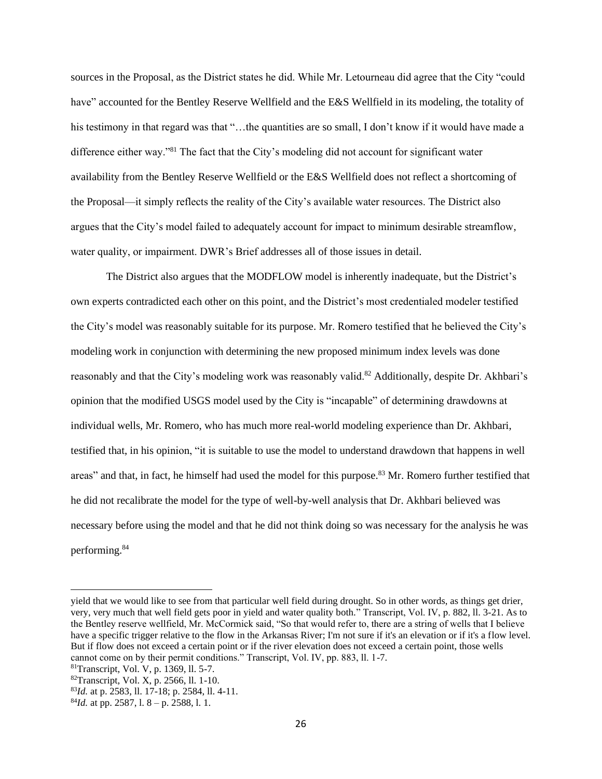sources in the Proposal, as the District states he did. While Mr. Letourneau did agree that the City "could have" accounted for the Bentley Reserve Wellfield and the E&S Wellfield in its modeling, the totality of his testimony in that regard was that "...the quantities are so small, I don't know if it would have made a difference either way."<sup>81</sup> The fact that the City's modeling did not account for significant water availability from the Bentley Reserve Wellfield or the E&S Wellfield does not reflect a shortcoming of the Proposal—it simply reflects the reality of the City's available water resources. The District also argues that the City's model failed to adequately account for impact to minimum desirable streamflow, water quality, or impairment. DWR's Brief addresses all of those issues in detail.

The District also argues that the MODFLOW model is inherently inadequate, but the District's own experts contradicted each other on this point, and the District's most credentialed modeler testified the City's model was reasonably suitable for its purpose. Mr. Romero testified that he believed the City's modeling work in conjunction with determining the new proposed minimum index levels was done reasonably and that the City's modeling work was reasonably valid.<sup>82</sup> Additionally, despite Dr. Akhbari's opinion that the modified USGS model used by the City is "incapable" of determining drawdowns at individual wells, Mr. Romero, who has much more real-world modeling experience than Dr. Akhbari, testified that, in his opinion, "it is suitable to use the model to understand drawdown that happens in well areas" and that, in fact, he himself had used the model for this purpose.<sup>83</sup> Mr. Romero further testified that he did not recalibrate the model for the type of well-by-well analysis that Dr. Akhbari believed was necessary before using the model and that he did not think doing so was necessary for the analysis he was performing.<sup>84</sup>

yield that we would like to see from that particular well field during drought. So in other words, as things get drier, very, very much that well field gets poor in yield and water quality both." Transcript, Vol. IV, p. 882, ll. 3-21. As to the Bentley reserve wellfield, Mr. McCormick said, "So that would refer to, there are a string of wells that I believe have a specific trigger relative to the flow in the Arkansas River; I'm not sure if it's an elevation or if it's a flow level. But if flow does not exceed a certain point or if the river elevation does not exceed a certain point, those wells cannot come on by their permit conditions." Transcript, Vol. IV, pp. 883, ll. 1-7.

<sup>81</sup>Transcript, Vol. V, p. 1369, ll. 5-7.

<sup>82</sup>Transcript, Vol. X, p. 2566, ll. 1-10.

<sup>83</sup>*Id.* at p. 2583, ll. 17-18; p. 2584, ll. 4-11.

<sup>84</sup>*Id.* at pp. 2587, l. 8 – p. 2588, l. 1.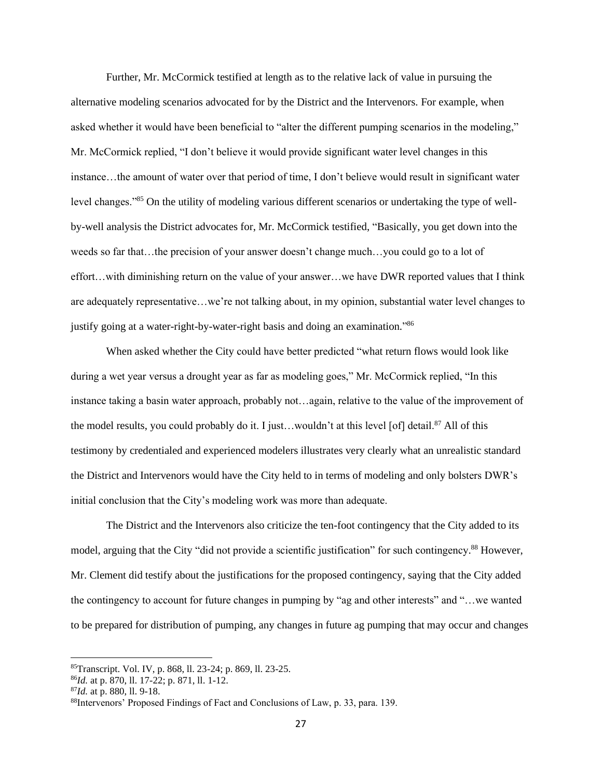Further, Mr. McCormick testified at length as to the relative lack of value in pursuing the alternative modeling scenarios advocated for by the District and the Intervenors. For example, when asked whether it would have been beneficial to "alter the different pumping scenarios in the modeling," Mr. McCormick replied, "I don't believe it would provide significant water level changes in this instance…the amount of water over that period of time, I don't believe would result in significant water level changes."<sup>85</sup> On the utility of modeling various different scenarios or undertaking the type of wellby-well analysis the District advocates for, Mr. McCormick testified, "Basically, you get down into the weeds so far that…the precision of your answer doesn't change much…you could go to a lot of effort…with diminishing return on the value of your answer…we have DWR reported values that I think are adequately representative…we're not talking about, in my opinion, substantial water level changes to justify going at a water-right-by-water-right basis and doing an examination."<sup>86</sup>

When asked whether the City could have better predicted "what return flows would look like during a wet year versus a drought year as far as modeling goes," Mr. McCormick replied, "In this instance taking a basin water approach, probably not…again, relative to the value of the improvement of the model results, you could probably do it. I just...wouldn't at this level [of] detail.<sup>87</sup> All of this testimony by credentialed and experienced modelers illustrates very clearly what an unrealistic standard the District and Intervenors would have the City held to in terms of modeling and only bolsters DWR's initial conclusion that the City's modeling work was more than adequate.

The District and the Intervenors also criticize the ten-foot contingency that the City added to its model, arguing that the City "did not provide a scientific justification" for such contingency.<sup>88</sup> However, Mr. Clement did testify about the justifications for the proposed contingency, saying that the City added the contingency to account for future changes in pumping by "ag and other interests" and "…we wanted to be prepared for distribution of pumping, any changes in future ag pumping that may occur and changes

<sup>85</sup>Transcript. Vol. IV, p. 868, ll. 23-24; p. 869, ll. 23-25.

<sup>86</sup>*Id.* at p. 870, ll. 17-22; p. 871, ll. 1-12.

<sup>87</sup>*Id.* at p. 880, ll. 9-18.

<sup>88</sup>Intervenors' Proposed Findings of Fact and Conclusions of Law, p. 33, para. 139.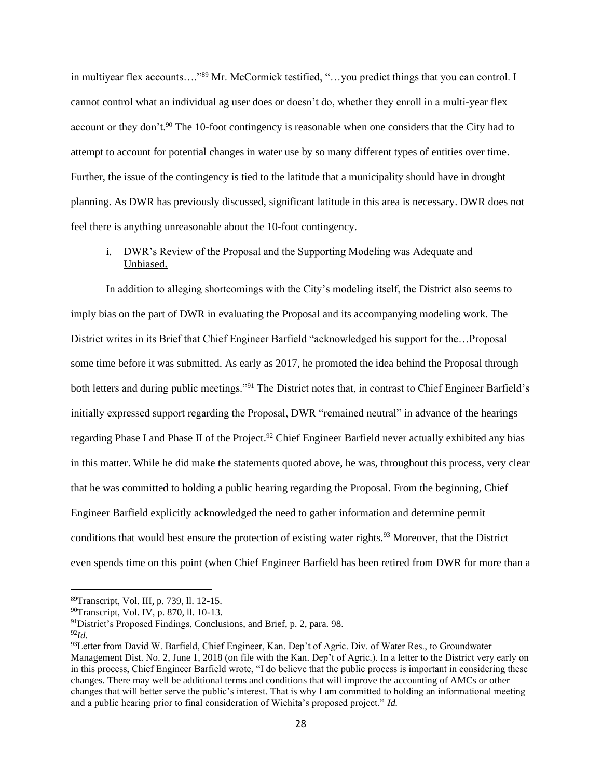in multiyear flex accounts...."89 Mr. McCormick testified, "...you predict things that you can control. I cannot control what an individual ag user does or doesn't do, whether they enroll in a multi-year flex account or they don't.<sup>90</sup> The 10-foot contingency is reasonable when one considers that the City had to attempt to account for potential changes in water use by so many different types of entities over time. Further, the issue of the contingency is tied to the latitude that a municipality should have in drought planning. As DWR has previously discussed, significant latitude in this area is necessary. DWR does not feel there is anything unreasonable about the 10-foot contingency.

## i. DWR's Review of the Proposal and the Supporting Modeling was Adequate and Unbiased.

In addition to alleging shortcomings with the City's modeling itself, the District also seems to imply bias on the part of DWR in evaluating the Proposal and its accompanying modeling work. The District writes in its Brief that Chief Engineer Barfield "acknowledged his support for the…Proposal some time before it was submitted. As early as 2017, he promoted the idea behind the Proposal through both letters and during public meetings."<sup>91</sup> The District notes that, in contrast to Chief Engineer Barfield's initially expressed support regarding the Proposal, DWR "remained neutral" in advance of the hearings regarding Phase I and Phase II of the Project.<sup>92</sup> Chief Engineer Barfield never actually exhibited any bias in this matter. While he did make the statements quoted above, he was, throughout this process, very clear that he was committed to holding a public hearing regarding the Proposal. From the beginning, Chief Engineer Barfield explicitly acknowledged the need to gather information and determine permit conditions that would best ensure the protection of existing water rights.<sup>93</sup> Moreover, that the District even spends time on this point (when Chief Engineer Barfield has been retired from DWR for more than a

<sup>89</sup>Transcript, Vol. III, p. 739, ll. 12-15.

<sup>90</sup>Transcript, Vol. IV, p. 870, ll. 10-13.

<sup>91</sup>District's Proposed Findings, Conclusions, and Brief, p. 2, para. 98.

<sup>92</sup>*Id.*

<sup>93</sup>Letter from David W. Barfield, Chief Engineer, Kan. Dep't of Agric. Div. of Water Res., to Groundwater Management Dist. No. 2, June 1, 2018 (on file with the Kan. Dep't of Agric.). In a letter to the District very early on in this process, Chief Engineer Barfield wrote, "I do believe that the public process is important in considering these changes. There may well be additional terms and conditions that will improve the accounting of AMCs or other changes that will better serve the public's interest. That is why I am committed to holding an informational meeting and a public hearing prior to final consideration of Wichita's proposed project." *Id.*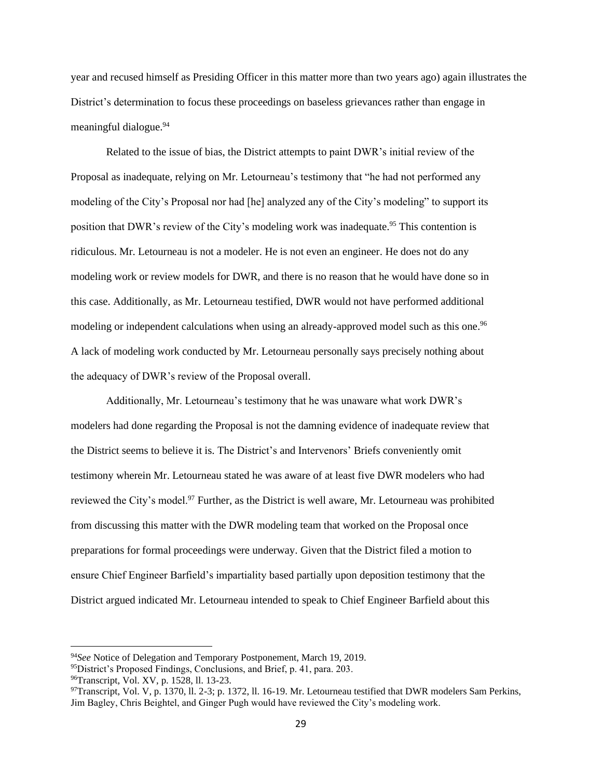year and recused himself as Presiding Officer in this matter more than two years ago) again illustrates the District's determination to focus these proceedings on baseless grievances rather than engage in meaningful dialogue.<sup>94</sup>

Related to the issue of bias, the District attempts to paint DWR's initial review of the Proposal as inadequate, relying on Mr. Letourneau's testimony that "he had not performed any modeling of the City's Proposal nor had [he] analyzed any of the City's modeling" to support its position that DWR's review of the City's modeling work was inadequate.<sup>95</sup> This contention is ridiculous. Mr. Letourneau is not a modeler. He is not even an engineer. He does not do any modeling work or review models for DWR, and there is no reason that he would have done so in this case. Additionally, as Mr. Letourneau testified, DWR would not have performed additional modeling or independent calculations when using an already-approved model such as this one.<sup>96</sup> A lack of modeling work conducted by Mr. Letourneau personally says precisely nothing about the adequacy of DWR's review of the Proposal overall.

Additionally, Mr. Letourneau's testimony that he was unaware what work DWR's modelers had done regarding the Proposal is not the damning evidence of inadequate review that the District seems to believe it is. The District's and Intervenors' Briefs conveniently omit testimony wherein Mr. Letourneau stated he was aware of at least five DWR modelers who had reviewed the City's model.<sup>97</sup> Further, as the District is well aware, Mr. Letourneau was prohibited from discussing this matter with the DWR modeling team that worked on the Proposal once preparations for formal proceedings were underway. Given that the District filed a motion to ensure Chief Engineer Barfield's impartiality based partially upon deposition testimony that the District argued indicated Mr. Letourneau intended to speak to Chief Engineer Barfield about this

<sup>94</sup>*See* Notice of Delegation and Temporary Postponement, March 19, 2019.

<sup>&</sup>lt;sup>95</sup>District's Proposed Findings, Conclusions, and Brief, p. 41, para. 203.

<sup>96</sup>Transcript, Vol. XV, p. 1528, ll. 13-23.

<sup>97</sup>Transcript, Vol. V, p. 1370, ll. 2-3; p. 1372, ll. 16-19. Mr. Letourneau testified that DWR modelers Sam Perkins, Jim Bagley, Chris Beightel, and Ginger Pugh would have reviewed the City's modeling work.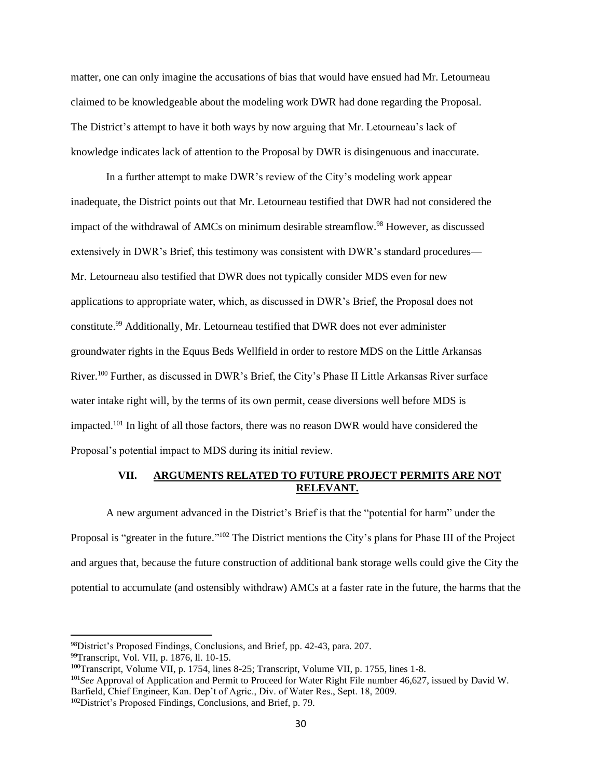matter, one can only imagine the accusations of bias that would have ensued had Mr. Letourneau claimed to be knowledgeable about the modeling work DWR had done regarding the Proposal. The District's attempt to have it both ways by now arguing that Mr. Letourneau's lack of knowledge indicates lack of attention to the Proposal by DWR is disingenuous and inaccurate.

In a further attempt to make DWR's review of the City's modeling work appear inadequate, the District points out that Mr. Letourneau testified that DWR had not considered the impact of the withdrawal of AMCs on minimum desirable streamflow.<sup>98</sup> However, as discussed extensively in DWR's Brief, this testimony was consistent with DWR's standard procedures— Mr. Letourneau also testified that DWR does not typically consider MDS even for new applications to appropriate water, which, as discussed in DWR's Brief, the Proposal does not constitute. <sup>99</sup> Additionally, Mr. Letourneau testified that DWR does not ever administer groundwater rights in the Equus Beds Wellfield in order to restore MDS on the Little Arkansas River.<sup>100</sup> Further, as discussed in DWR's Brief, the City's Phase II Little Arkansas River surface water intake right will, by the terms of its own permit, cease diversions well before MDS is impacted.<sup>101</sup> In light of all those factors, there was no reason DWR would have considered the Proposal's potential impact to MDS during its initial review.

## **VII. ARGUMENTS RELATED TO FUTURE PROJECT PERMITS ARE NOT RELEVANT.**

A new argument advanced in the District's Brief is that the "potential for harm" under the Proposal is "greater in the future."<sup>102</sup> The District mentions the City's plans for Phase III of the Project and argues that, because the future construction of additional bank storage wells could give the City the potential to accumulate (and ostensibly withdraw) AMCs at a faster rate in the future, the harms that the

<sup>101</sup>*See* Approval of Application and Permit to Proceed for Water Right File number 46,627, issued by David W. Barfield, Chief Engineer, Kan. Dep't of Agric., Div. of Water Res., Sept. 18, 2009.

<sup>98</sup>District's Proposed Findings, Conclusions, and Brief, pp. 42-43, para. 207.

<sup>99</sup>Transcript, Vol. VII, p. 1876, ll. 10-15.

<sup>&</sup>lt;sup>100</sup>Transcript, Volume VII, p. 1754, lines 8-25; Transcript, Volume VII, p. 1755, lines 1-8.

<sup>102</sup>District's Proposed Findings, Conclusions, and Brief, p. 79.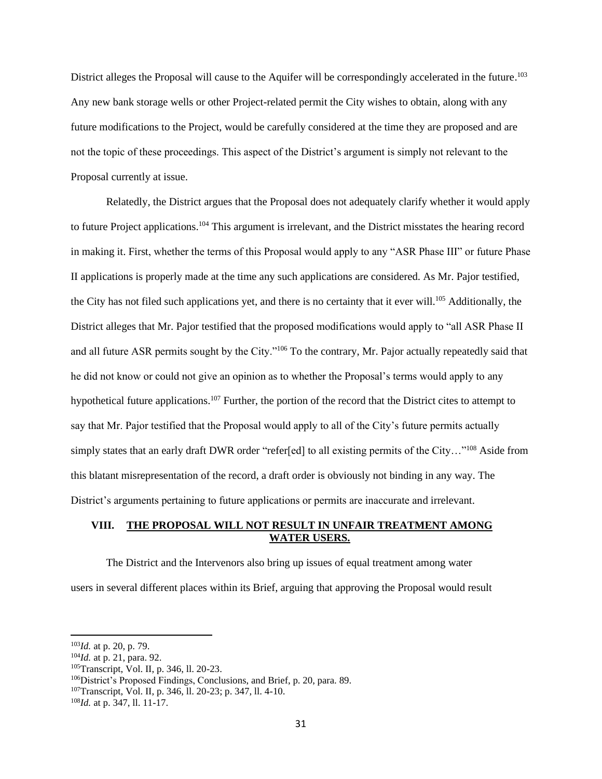District alleges the Proposal will cause to the Aquifer will be correspondingly accelerated in the future.<sup>103</sup> Any new bank storage wells or other Project-related permit the City wishes to obtain, along with any future modifications to the Project, would be carefully considered at the time they are proposed and are not the topic of these proceedings. This aspect of the District's argument is simply not relevant to the Proposal currently at issue.

Relatedly, the District argues that the Proposal does not adequately clarify whether it would apply to future Project applications.<sup>104</sup> This argument is irrelevant, and the District misstates the hearing record in making it. First, whether the terms of this Proposal would apply to any "ASR Phase III" or future Phase II applications is properly made at the time any such applications are considered. As Mr. Pajor testified, the City has not filed such applications yet, and there is no certainty that it ever will.<sup>105</sup> Additionally, the District alleges that Mr. Pajor testified that the proposed modifications would apply to "all ASR Phase II and all future ASR permits sought by the City."<sup>106</sup> To the contrary, Mr. Pajor actually repeatedly said that he did not know or could not give an opinion as to whether the Proposal's terms would apply to any hypothetical future applications.<sup>107</sup> Further, the portion of the record that the District cites to attempt to say that Mr. Pajor testified that the Proposal would apply to all of the City's future permits actually simply states that an early draft DWR order "refer[ed] to all existing permits of the City..."<sup>108</sup> Aside from this blatant misrepresentation of the record, a draft order is obviously not binding in any way. The District's arguments pertaining to future applications or permits are inaccurate and irrelevant.

## **VIII. THE PROPOSAL WILL NOT RESULT IN UNFAIR TREATMENT AMONG WATER USERS.**

The District and the Intervenors also bring up issues of equal treatment among water users in several different places within its Brief, arguing that approving the Proposal would result

<sup>105</sup>Transcript, Vol. II, p. 346, ll. 20-23.

<sup>103</sup>*Id.* at p. 20, p. 79.

<sup>104</sup>*Id.* at p. 21, para. 92.

<sup>106</sup>District's Proposed Findings, Conclusions, and Brief, p. 20, para. 89.

<sup>107</sup>Transcript, Vol. II, p. 346, ll. 20-23; p. 347, ll. 4-10.

<sup>108</sup>*Id.* at p. 347, ll. 11-17.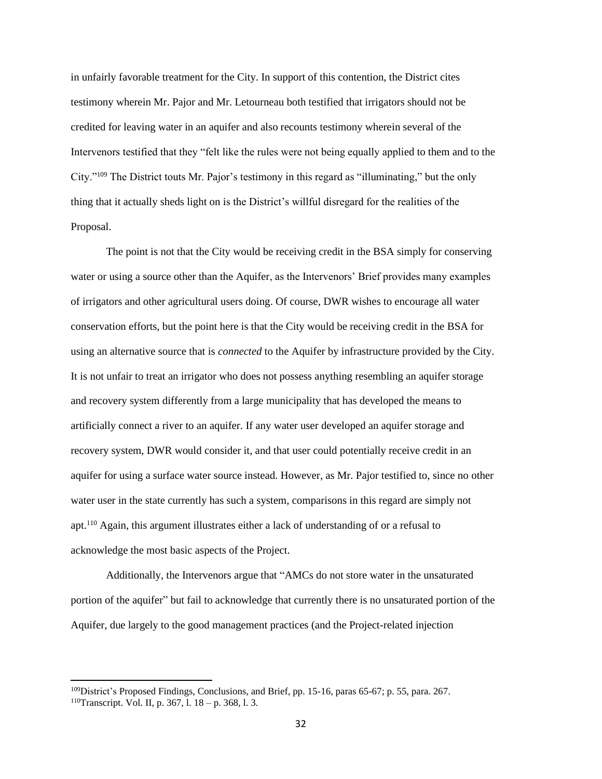in unfairly favorable treatment for the City. In support of this contention, the District cites testimony wherein Mr. Pajor and Mr. Letourneau both testified that irrigators should not be credited for leaving water in an aquifer and also recounts testimony wherein several of the Intervenors testified that they "felt like the rules were not being equally applied to them and to the City."<sup>109</sup> The District touts Mr. Pajor's testimony in this regard as "illuminating," but the only thing that it actually sheds light on is the District's willful disregard for the realities of the Proposal.

The point is not that the City would be receiving credit in the BSA simply for conserving water or using a source other than the Aquifer, as the Intervenors' Brief provides many examples of irrigators and other agricultural users doing. Of course, DWR wishes to encourage all water conservation efforts, but the point here is that the City would be receiving credit in the BSA for using an alternative source that is *connected* to the Aquifer by infrastructure provided by the City. It is not unfair to treat an irrigator who does not possess anything resembling an aquifer storage and recovery system differently from a large municipality that has developed the means to artificially connect a river to an aquifer. If any water user developed an aquifer storage and recovery system, DWR would consider it, and that user could potentially receive credit in an aquifer for using a surface water source instead. However, as Mr. Pajor testified to, since no other water user in the state currently has such a system, comparisons in this regard are simply not apt.<sup>110</sup> Again, this argument illustrates either a lack of understanding of or a refusal to acknowledge the most basic aspects of the Project.

Additionally, the Intervenors argue that "AMCs do not store water in the unsaturated portion of the aquifer" but fail to acknowledge that currently there is no unsaturated portion of the Aquifer, due largely to the good management practices (and the Project-related injection

<sup>&</sup>lt;sup>109</sup>District's Proposed Findings, Conclusions, and Brief, pp. 15-16, paras 65-67; p. 55, para. 267. <sup>110</sup>Transcript. Vol. II, p. 367, l. 18 – p. 368, l. 3.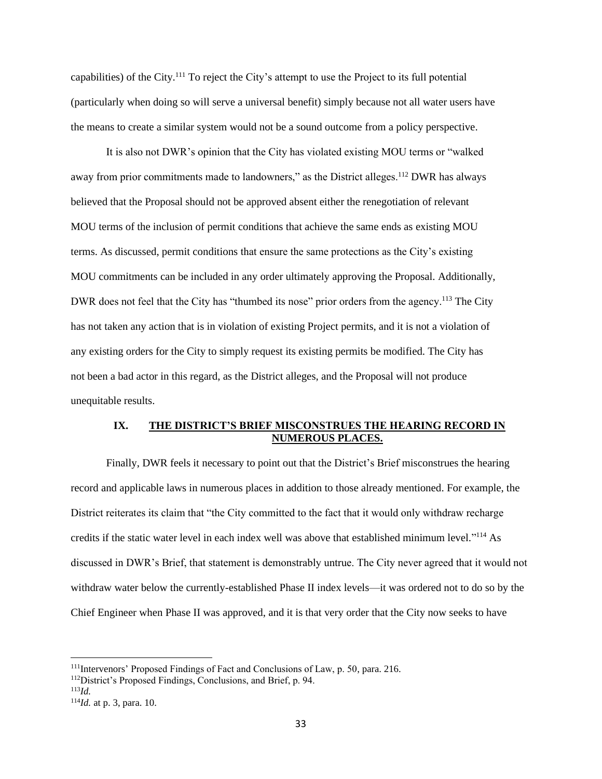capabilities) of the City.<sup>111</sup> To reject the City's attempt to use the Project to its full potential (particularly when doing so will serve a universal benefit) simply because not all water users have the means to create a similar system would not be a sound outcome from a policy perspective.

It is also not DWR's opinion that the City has violated existing MOU terms or "walked away from prior commitments made to landowners," as the District alleges.<sup>112</sup> DWR has always believed that the Proposal should not be approved absent either the renegotiation of relevant MOU terms of the inclusion of permit conditions that achieve the same ends as existing MOU terms. As discussed, permit conditions that ensure the same protections as the City's existing MOU commitments can be included in any order ultimately approving the Proposal. Additionally, DWR does not feel that the City has "thumbed its nose" prior orders from the agency.<sup>113</sup> The City has not taken any action that is in violation of existing Project permits, and it is not a violation of any existing orders for the City to simply request its existing permits be modified. The City has not been a bad actor in this regard, as the District alleges, and the Proposal will not produce unequitable results.

### **IX. THE DISTRICT'S BRIEF MISCONSTRUES THE HEARING RECORD IN NUMEROUS PLACES.**

Finally, DWR feels it necessary to point out that the District's Brief misconstrues the hearing record and applicable laws in numerous places in addition to those already mentioned. For example, the District reiterates its claim that "the City committed to the fact that it would only withdraw recharge credits if the static water level in each index well was above that established minimum level."<sup>114</sup> As discussed in DWR's Brief, that statement is demonstrably untrue. The City never agreed that it would not withdraw water below the currently-established Phase II index levels—it was ordered not to do so by the Chief Engineer when Phase II was approved, and it is that very order that the City now seeks to have

<sup>111</sup>Intervenors' Proposed Findings of Fact and Conclusions of Law, p. 50, para. 216.

<sup>112</sup>District's Proposed Findings, Conclusions, and Brief, p. 94.

<sup>113</sup>*Id.*

<sup>114</sup>*Id.* at p. 3, para. 10.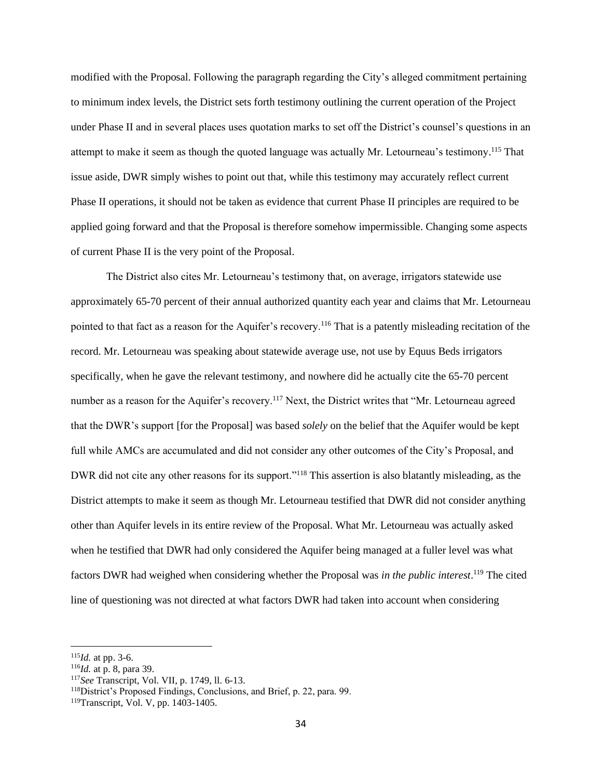modified with the Proposal. Following the paragraph regarding the City's alleged commitment pertaining to minimum index levels, the District sets forth testimony outlining the current operation of the Project under Phase II and in several places uses quotation marks to set off the District's counsel's questions in an attempt to make it seem as though the quoted language was actually Mr. Letourneau's testimony.<sup>115</sup> That issue aside, DWR simply wishes to point out that, while this testimony may accurately reflect current Phase II operations, it should not be taken as evidence that current Phase II principles are required to be applied going forward and that the Proposal is therefore somehow impermissible. Changing some aspects of current Phase II is the very point of the Proposal.

The District also cites Mr. Letourneau's testimony that, on average, irrigators statewide use approximately 65-70 percent of their annual authorized quantity each year and claims that Mr. Letourneau pointed to that fact as a reason for the Aquifer's recovery.<sup>116</sup> That is a patently misleading recitation of the record. Mr. Letourneau was speaking about statewide average use, not use by Equus Beds irrigators specifically, when he gave the relevant testimony, and nowhere did he actually cite the 65-70 percent number as a reason for the Aquifer's recovery.<sup>117</sup> Next, the District writes that "Mr. Letourneau agreed that the DWR's support [for the Proposal] was based *solely* on the belief that the Aquifer would be kept full while AMCs are accumulated and did not consider any other outcomes of the City's Proposal, and DWR did not cite any other reasons for its support."<sup>118</sup> This assertion is also blatantly misleading, as the District attempts to make it seem as though Mr. Letourneau testified that DWR did not consider anything other than Aquifer levels in its entire review of the Proposal. What Mr. Letourneau was actually asked when he testified that DWR had only considered the Aquifer being managed at a fuller level was what factors DWR had weighed when considering whether the Proposal was *in the public interest*. <sup>119</sup> The cited line of questioning was not directed at what factors DWR had taken into account when considering

<sup>115</sup>*Id.* at pp. 3-6.

<sup>116</sup>*Id.* at p. 8, para 39.

<sup>117</sup>*See* Transcript, Vol. VII, p. 1749, ll. 6-13.

<sup>118</sup>District's Proposed Findings, Conclusions, and Brief, p. 22, para. 99.

<sup>119</sup>Transcript, Vol. V, pp. 1403-1405.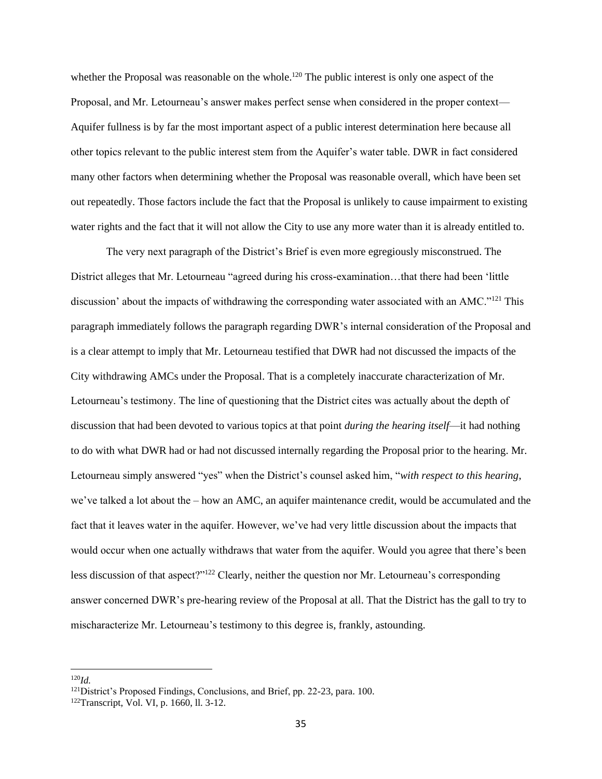whether the Proposal was reasonable on the whole.<sup>120</sup> The public interest is only one aspect of the Proposal, and Mr. Letourneau's answer makes perfect sense when considered in the proper context— Aquifer fullness is by far the most important aspect of a public interest determination here because all other topics relevant to the public interest stem from the Aquifer's water table. DWR in fact considered many other factors when determining whether the Proposal was reasonable overall, which have been set out repeatedly. Those factors include the fact that the Proposal is unlikely to cause impairment to existing water rights and the fact that it will not allow the City to use any more water than it is already entitled to.

The very next paragraph of the District's Brief is even more egregiously misconstrued. The District alleges that Mr. Letourneau "agreed during his cross-examination…that there had been 'little discussion' about the impacts of withdrawing the corresponding water associated with an AMC."<sup>121</sup> This paragraph immediately follows the paragraph regarding DWR's internal consideration of the Proposal and is a clear attempt to imply that Mr. Letourneau testified that DWR had not discussed the impacts of the City withdrawing AMCs under the Proposal. That is a completely inaccurate characterization of Mr. Letourneau's testimony. The line of questioning that the District cites was actually about the depth of discussion that had been devoted to various topics at that point *during the hearing itself*—it had nothing to do with what DWR had or had not discussed internally regarding the Proposal prior to the hearing. Mr. Letourneau simply answered "yes" when the District's counsel asked him, "*with respect to this hearing*, we've talked a lot about the – how an AMC, an aquifer maintenance credit, would be accumulated and the fact that it leaves water in the aquifer. However, we've had very little discussion about the impacts that would occur when one actually withdraws that water from the aquifer. Would you agree that there's been less discussion of that aspect?"<sup>122</sup> Clearly, neither the question nor Mr. Letourneau's corresponding answer concerned DWR's pre-hearing review of the Proposal at all. That the District has the gall to try to mischaracterize Mr. Letourneau's testimony to this degree is, frankly, astounding.

<sup>120</sup>*Id.*

<sup>&</sup>lt;sup>121</sup>District's Proposed Findings, Conclusions, and Brief, pp. 22-23, para. 100.

<sup>122</sup>Transcript, Vol. VI, p. 1660, ll. 3-12.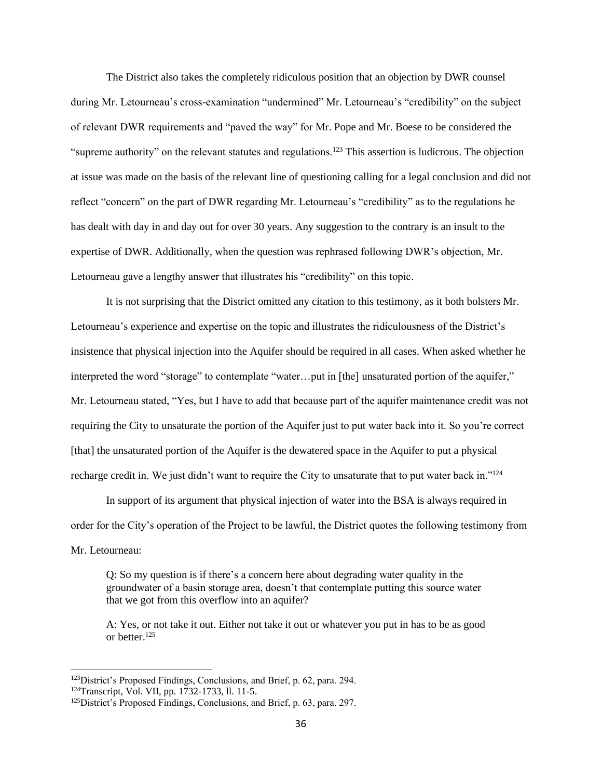The District also takes the completely ridiculous position that an objection by DWR counsel during Mr. Letourneau's cross-examination "undermined" Mr. Letourneau's "credibility" on the subject of relevant DWR requirements and "paved the way" for Mr. Pope and Mr. Boese to be considered the "supreme authority" on the relevant statutes and regulations.<sup>123</sup> This assertion is ludicrous. The objection at issue was made on the basis of the relevant line of questioning calling for a legal conclusion and did not reflect "concern" on the part of DWR regarding Mr. Letourneau's "credibility" as to the regulations he has dealt with day in and day out for over 30 years. Any suggestion to the contrary is an insult to the expertise of DWR. Additionally, when the question was rephrased following DWR's objection, Mr. Letourneau gave a lengthy answer that illustrates his "credibility" on this topic.

It is not surprising that the District omitted any citation to this testimony, as it both bolsters Mr. Letourneau's experience and expertise on the topic and illustrates the ridiculousness of the District's insistence that physical injection into the Aquifer should be required in all cases. When asked whether he interpreted the word "storage" to contemplate "water…put in [the] unsaturated portion of the aquifer," Mr. Letourneau stated, "Yes, but I have to add that because part of the aquifer maintenance credit was not requiring the City to unsaturate the portion of the Aquifer just to put water back into it. So you're correct [that] the unsaturated portion of the Aquifer is the dewatered space in the Aquifer to put a physical recharge credit in. We just didn't want to require the City to unsaturate that to put water back in."<sup>124</sup>

In support of its argument that physical injection of water into the BSA is always required in order for the City's operation of the Project to be lawful, the District quotes the following testimony from Mr. Letourneau:

Q: So my question is if there's a concern here about degrading water quality in the groundwater of a basin storage area, doesn't that contemplate putting this source water that we got from this overflow into an aquifer?

A: Yes, or not take it out. Either not take it out or whatever you put in has to be as good or better.<sup>125</sup>

<sup>&</sup>lt;sup>123</sup>District's Proposed Findings, Conclusions, and Brief, p. 62, para. 294.

<sup>124</sup>Transcript, Vol. VII, pp. 1732-1733, ll. 11-5.

<sup>&</sup>lt;sup>125</sup>District's Proposed Findings, Conclusions, and Brief, p. 63, para. 297.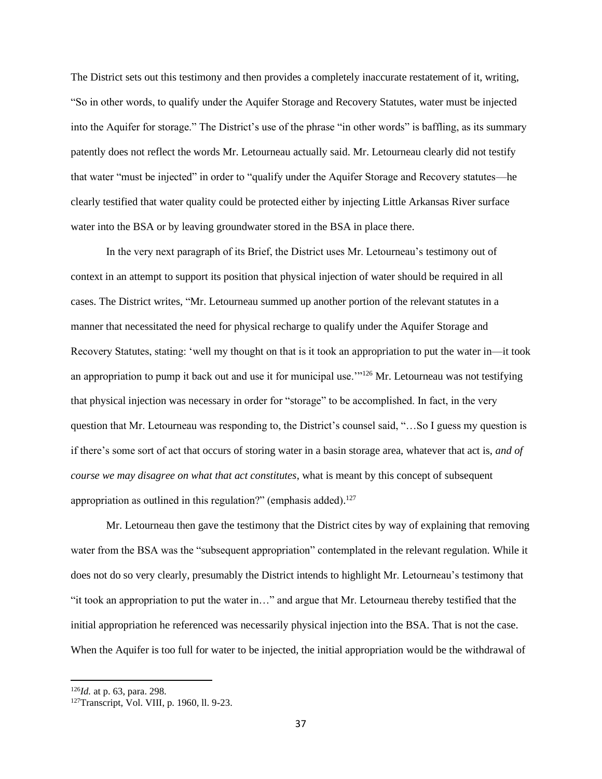The District sets out this testimony and then provides a completely inaccurate restatement of it, writing, "So in other words, to qualify under the Aquifer Storage and Recovery Statutes, water must be injected into the Aquifer for storage." The District's use of the phrase "in other words" is baffling, as its summary patently does not reflect the words Mr. Letourneau actually said. Mr. Letourneau clearly did not testify that water "must be injected" in order to "qualify under the Aquifer Storage and Recovery statutes—he clearly testified that water quality could be protected either by injecting Little Arkansas River surface water into the BSA or by leaving groundwater stored in the BSA in place there.

In the very next paragraph of its Brief, the District uses Mr. Letourneau's testimony out of context in an attempt to support its position that physical injection of water should be required in all cases. The District writes, "Mr. Letourneau summed up another portion of the relevant statutes in a manner that necessitated the need for physical recharge to qualify under the Aquifer Storage and Recovery Statutes, stating: 'well my thought on that is it took an appropriation to put the water in—it took an appropriation to pump it back out and use it for municipal use.'"<sup>126</sup> Mr. Letourneau was not testifying that physical injection was necessary in order for "storage" to be accomplished. In fact, in the very question that Mr. Letourneau was responding to, the District's counsel said, "…So I guess my question is if there's some sort of act that occurs of storing water in a basin storage area, whatever that act is, *and of course we may disagree on what that act constitutes*, what is meant by this concept of subsequent appropriation as outlined in this regulation?" (emphasis added). $^{127}$ 

Mr. Letourneau then gave the testimony that the District cites by way of explaining that removing water from the BSA was the "subsequent appropriation" contemplated in the relevant regulation. While it does not do so very clearly, presumably the District intends to highlight Mr. Letourneau's testimony that "it took an appropriation to put the water in…" and argue that Mr. Letourneau thereby testified that the initial appropriation he referenced was necessarily physical injection into the BSA. That is not the case. When the Aquifer is too full for water to be injected, the initial appropriation would be the withdrawal of

<sup>126</sup>*Id.* at p. 63, para. 298.

<sup>127</sup>Transcript, Vol. VIII, p. 1960, ll. 9-23.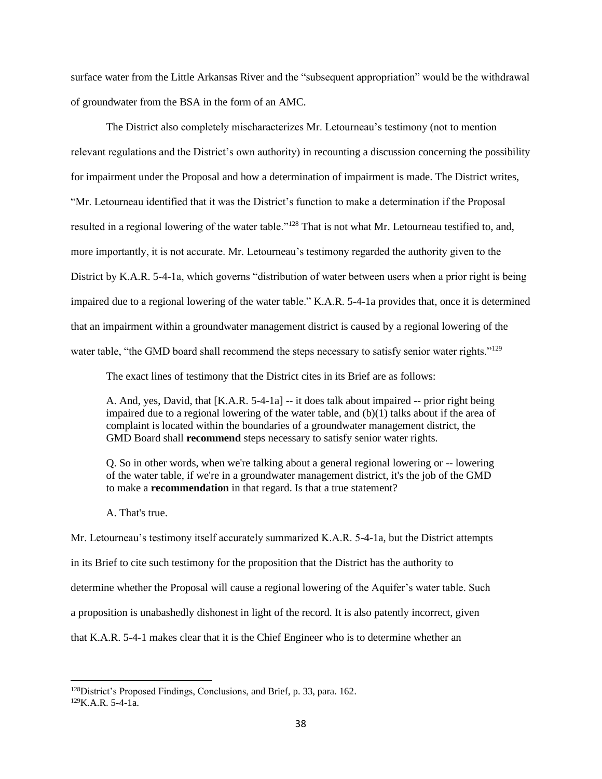surface water from the Little Arkansas River and the "subsequent appropriation" would be the withdrawal of groundwater from the BSA in the form of an AMC.

The District also completely mischaracterizes Mr. Letourneau's testimony (not to mention relevant regulations and the District's own authority) in recounting a discussion concerning the possibility for impairment under the Proposal and how a determination of impairment is made. The District writes, "Mr. Letourneau identified that it was the District's function to make a determination if the Proposal resulted in a regional lowering of the water table."<sup>128</sup> That is not what Mr. Letourneau testified to, and, more importantly, it is not accurate. Mr. Letourneau's testimony regarded the authority given to the District by K.A.R. 5-4-1a, which governs "distribution of water between users when a prior right is being impaired due to a regional lowering of the water table." K.A.R. 5-4-1a provides that, once it is determined that an impairment within a groundwater management district is caused by a regional lowering of the water table, "the GMD board shall recommend the steps necessary to satisfy senior water rights."<sup>129</sup>

The exact lines of testimony that the District cites in its Brief are as follows:

A. And, yes, David, that [K.A.R. 5-4-1a] -- it does talk about impaired -- prior right being impaired due to a regional lowering of the water table, and  $(b)(1)$  talks about if the area of complaint is located within the boundaries of a groundwater management district, the GMD Board shall **recommend** steps necessary to satisfy senior water rights.

Q. So in other words, when we're talking about a general regional lowering or -- lowering of the water table, if we're in a groundwater management district, it's the job of the GMD to make a **recommendation** in that regard. Is that a true statement?

A. That's true.

Mr. Letourneau's testimony itself accurately summarized K.A.R. 5-4-1a, but the District attempts in its Brief to cite such testimony for the proposition that the District has the authority to determine whether the Proposal will cause a regional lowering of the Aquifer's water table. Such a proposition is unabashedly dishonest in light of the record. It is also patently incorrect, given that K.A.R. 5-4-1 makes clear that it is the Chief Engineer who is to determine whether an

<sup>&</sup>lt;sup>128</sup>District's Proposed Findings, Conclusions, and Brief, p. 33, para. 162. 129K.A.R. 5-4-1a.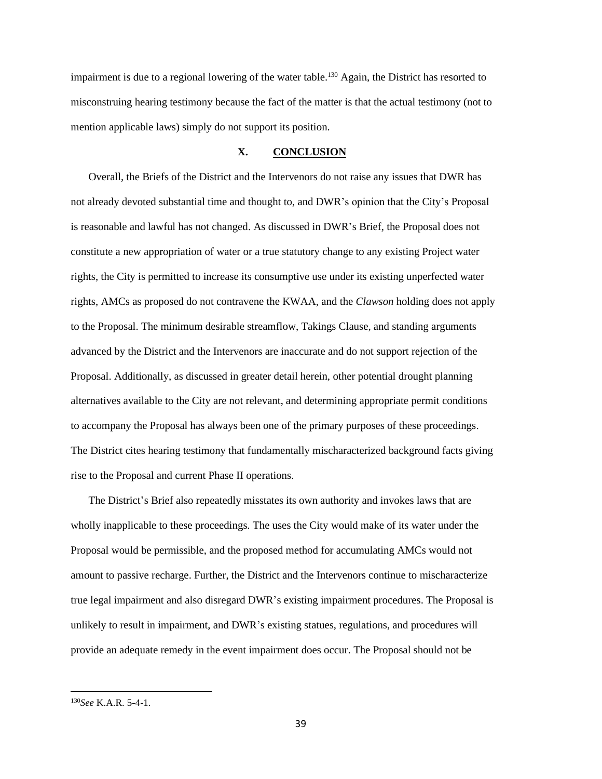impairment is due to a regional lowering of the water table.<sup>130</sup> Again, the District has resorted to misconstruing hearing testimony because the fact of the matter is that the actual testimony (not to mention applicable laws) simply do not support its position.

## **X. CONCLUSION**

Overall, the Briefs of the District and the Intervenors do not raise any issues that DWR has not already devoted substantial time and thought to, and DWR's opinion that the City's Proposal is reasonable and lawful has not changed. As discussed in DWR's Brief, the Proposal does not constitute a new appropriation of water or a true statutory change to any existing Project water rights, the City is permitted to increase its consumptive use under its existing unperfected water rights, AMCs as proposed do not contravene the KWAA, and the *Clawson* holding does not apply to the Proposal. The minimum desirable streamflow, Takings Clause, and standing arguments advanced by the District and the Intervenors are inaccurate and do not support rejection of the Proposal. Additionally, as discussed in greater detail herein, other potential drought planning alternatives available to the City are not relevant, and determining appropriate permit conditions to accompany the Proposal has always been one of the primary purposes of these proceedings. The District cites hearing testimony that fundamentally mischaracterized background facts giving rise to the Proposal and current Phase II operations.

The District's Brief also repeatedly misstates its own authority and invokes laws that are wholly inapplicable to these proceedings. The uses the City would make of its water under the Proposal would be permissible, and the proposed method for accumulating AMCs would not amount to passive recharge. Further, the District and the Intervenors continue to mischaracterize true legal impairment and also disregard DWR's existing impairment procedures. The Proposal is unlikely to result in impairment, and DWR's existing statues, regulations, and procedures will provide an adequate remedy in the event impairment does occur. The Proposal should not be

<sup>130</sup>*See* K.A.R. 5-4-1.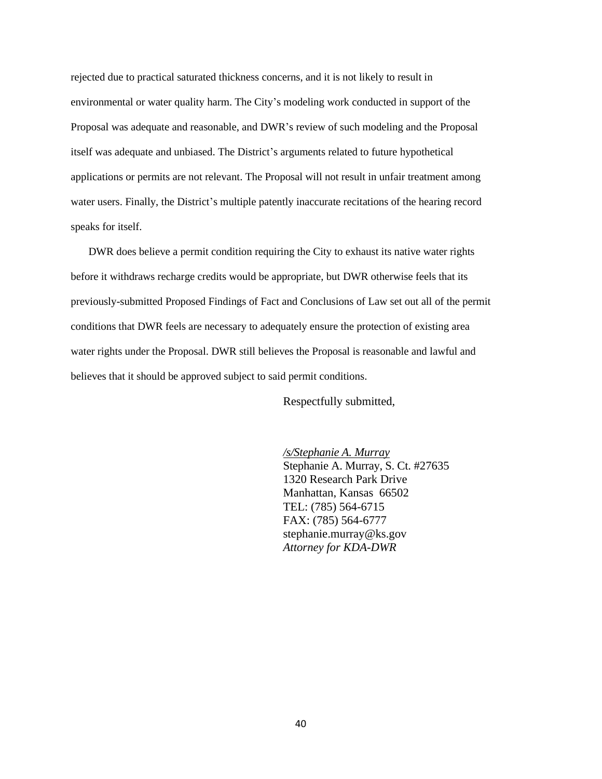rejected due to practical saturated thickness concerns, and it is not likely to result in environmental or water quality harm. The City's modeling work conducted in support of the Proposal was adequate and reasonable, and DWR's review of such modeling and the Proposal itself was adequate and unbiased. The District's arguments related to future hypothetical applications or permits are not relevant. The Proposal will not result in unfair treatment among water users. Finally, the District's multiple patently inaccurate recitations of the hearing record speaks for itself.

DWR does believe a permit condition requiring the City to exhaust its native water rights before it withdraws recharge credits would be appropriate, but DWR otherwise feels that its previously-submitted Proposed Findings of Fact and Conclusions of Law set out all of the permit conditions that DWR feels are necessary to adequately ensure the protection of existing area water rights under the Proposal. DWR still believes the Proposal is reasonable and lawful and believes that it should be approved subject to said permit conditions.

Respectfully submitted,

*/s/Stephanie A. Murray*  Stephanie A. Murray, S. Ct. #27635 1320 Research Park Drive Manhattan, Kansas 66502 TEL: (785) 564-6715 FAX: (785) 564-6777 stephanie.murray@ks.gov *Attorney for KDA-DWR*